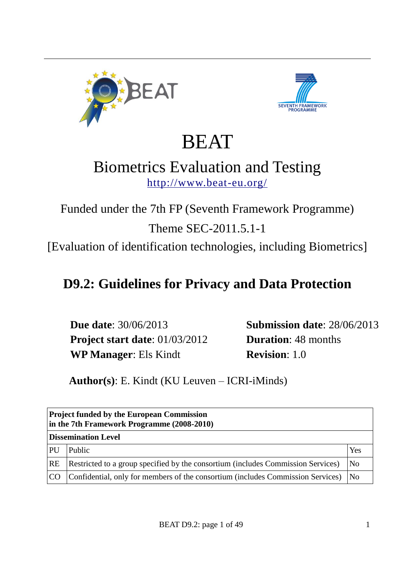



# BEAT

# Biometrics Evaluation and Testing <http://www.beat-eu.org/>

Funded under the 7th FP (Seventh Framework Programme)

# Theme SEC-2011.5.1-1

[Evaluation of identification technologies, including Biometrics]

# **D9.2: Guidelines for Privacy and Data Protection**

**Due date**: 30/06/2013 **Submission date**: 28/06/2013 **Project start date**: 01/03/2012 **Duration**: 48 months **WP Manager: Els Kindt <b>Revision**: 1.0

**Author(s)**: E. Kindt (KU Leuven – ICRI-iMinds)

| <b>Project funded by the European Commission</b><br>in the 7th Framework Programme (2008-2010) |                                                                                  |                |  |  |  |  |
|------------------------------------------------------------------------------------------------|----------------------------------------------------------------------------------|----------------|--|--|--|--|
|                                                                                                | <b>Dissemination Level</b>                                                       |                |  |  |  |  |
| PU                                                                                             | Public                                                                           | Yes            |  |  |  |  |
| <b>RE</b>                                                                                      | Restricted to a group specified by the consortium (includes Commission Services) | N <sub>o</sub> |  |  |  |  |
| <b>CO</b>                                                                                      | Confidential, only for members of the consortium (includes Commission Services)  | N <sub>0</sub> |  |  |  |  |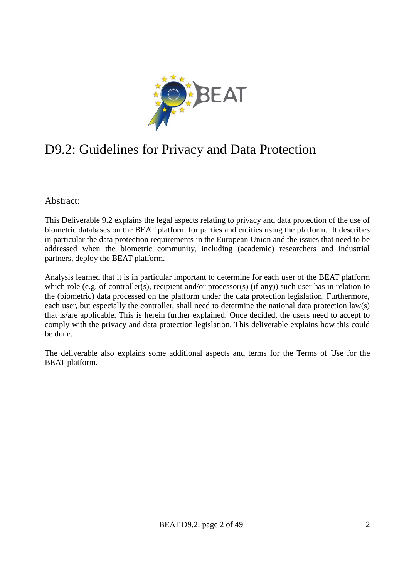

# D9.2: Guidelines for Privacy and Data Protection

Abstract:

This Deliverable 9.2 explains the legal aspects relating to privacy and data protection of the use of biometric databases on the BEAT platform for parties and entities using the platform. It describes in particular the data protection requirements in the European Union and the issues that need to be addressed when the biometric community, including (academic) researchers and industrial partners, deploy the BEAT platform.

Analysis learned that it is in particular important to determine for each user of the BEAT platform which role (e.g. of controller(s), recipient and/or processor(s) (if any)) such user has in relation to the (biometric) data processed on the platform under the data protection legislation. Furthermore, each user, but especially the controller, shall need to determine the national data protection law(s) that is/are applicable. This is herein further explained. Once decided, the users need to accept to comply with the privacy and data protection legislation. This deliverable explains how this could be done.

The deliverable also explains some additional aspects and terms for the Terms of Use for the BEAT platform.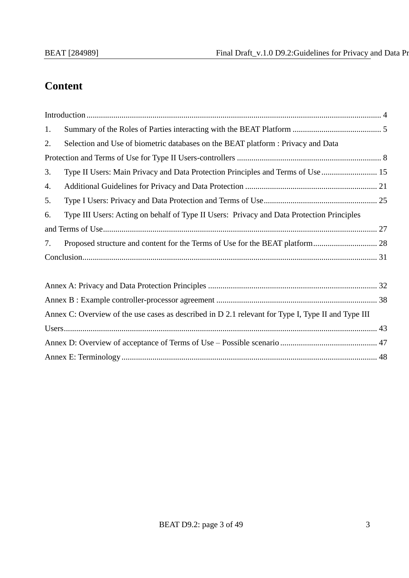# **Content**

| 1. |                                                                                                    |  |
|----|----------------------------------------------------------------------------------------------------|--|
| 2. | Selection and Use of biometric databases on the BEAT platform : Privacy and Data                   |  |
|    |                                                                                                    |  |
| 3. | Type II Users: Main Privacy and Data Protection Principles and Terms of Use  15                    |  |
| 4. |                                                                                                    |  |
| 5. |                                                                                                    |  |
| 6. | Type III Users: Acting on behalf of Type II Users: Privacy and Data Protection Principles          |  |
|    |                                                                                                    |  |
| 7. |                                                                                                    |  |
|    |                                                                                                    |  |
|    |                                                                                                    |  |
|    |                                                                                                    |  |
|    | Annex C: Overview of the use cases as described in D 2.1 relevant for Type I, Type II and Type III |  |
|    |                                                                                                    |  |
|    |                                                                                                    |  |
|    |                                                                                                    |  |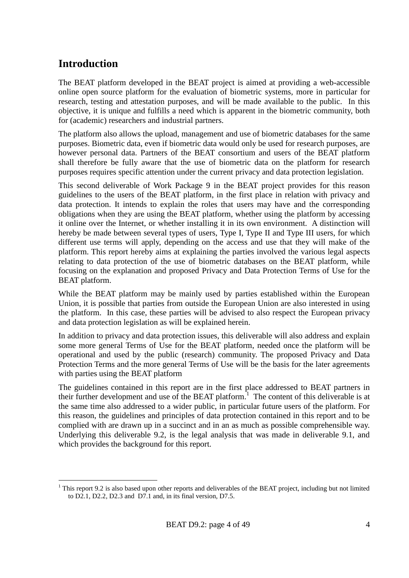# **Introduction**

1

The BEAT platform developed in the BEAT project is aimed at providing a web-accessible online open source platform for the evaluation of biometric systems, more in particular for research, testing and attestation purposes, and will be made available to the public. In this objective, it is unique and fulfills a need which is apparent in the biometric community, both for (academic) researchers and industrial partners.

The platform also allows the upload, management and use of biometric databases for the same purposes. Biometric data, even if biometric data would only be used for research purposes, are however personal data. Partners of the BEAT consortium and users of the BEAT platform shall therefore be fully aware that the use of biometric data on the platform for research purposes requires specific attention under the current privacy and data protection legislation.

This second deliverable of Work Package 9 in the BEAT project provides for this reason guidelines to the users of the BEAT platform, in the first place in relation with privacy and data protection. It intends to explain the roles that users may have and the corresponding obligations when they are using the BEAT platform, whether using the platform by accessing it online over the Internet, or whether installing it in its own environment. A distinction will hereby be made between several types of users, Type I, Type II and Type III users, for which different use terms will apply, depending on the access and use that they will make of the platform. This report hereby aims at explaining the parties involved the various legal aspects relating to data protection of the use of biometric databases on the BEAT platform, while focusing on the explanation and proposed Privacy and Data Protection Terms of Use for the BEAT platform.

While the BEAT platform may be mainly used by parties established within the European Union, it is possible that parties from outside the European Union are also interested in using the platform. In this case, these parties will be advised to also respect the European privacy and data protection legislation as will be explained herein.

In addition to privacy and data protection issues, this deliverable will also address and explain some more general Terms of Use for the BEAT platform, needed once the platform will be operational and used by the public (research) community. The proposed Privacy and Data Protection Terms and the more general Terms of Use will be the basis for the later agreements with parties using the BEAT platform

The guidelines contained in this report are in the first place addressed to BEAT partners in their further development and use of the BEAT platform. 1 The content of this deliverable is at the same time also addressed to a wider public, in particular future users of the platform. For this reason, the guidelines and principles of data protection contained in this report and to be complied with are drawn up in a succinct and in an as much as possible comprehensible way. Underlying this deliverable 9.2, is the legal analysis that was made in deliverable 9.1, and which provides the background for this report.

 $1$ <sup>1</sup> This report 9.2 is also based upon other reports and deliverables of the BEAT project, including but not limited to D2.1, D2.2, D2.3 and D7.1 and, in its final version, D7.5.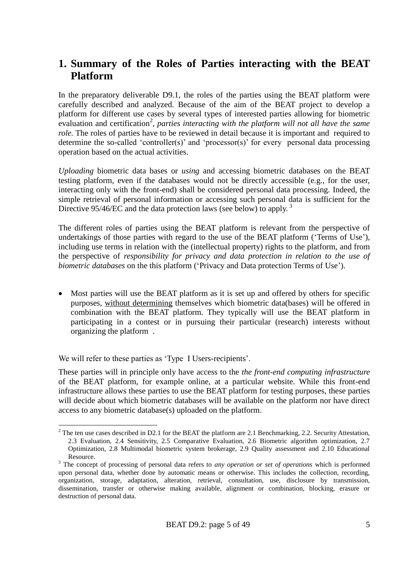### **1. Summary of the Roles of Parties interacting with the BEAT Platform**

In the preparatory deliverable D9.1, the roles of the parties using the BEAT platform were carefully described and analyzed. Because of the aim of the BEAT project to develop a platform for different use cases by several types of interested parties allowing for biometric evaluation and certification<sup>2</sup>, parties interacting with the platform will not all have the same *role.* The roles of parties have to be reviewed in detail because it is important and required to determine the so-called 'controller(s)' and 'processor(s)' for every personal data processing operation based on the actual activities.

*Uploading* biometric data bases or *using* and accessing biometric databases on the BEAT testing platform, even if the databases would not be directly accessible (e.g., for the user, interacting only with the front-end) shall be considered personal data processing. Indeed, the simple retrieval of personal information or accessing such personal data is sufficient for the Directive 95/46/EC and the data protection laws (see below) to apply.<sup>3</sup>

The different roles of parties using the BEAT platform is relevant from the perspective of undertakings of those parties with regard to the use of the BEAT platform ('Terms of Use'), including use terms in relation with the (intellectual property) rights to the platform, and from the perspective of *responsibility for privacy and data protection in relation to the use of biometric databases* on the this platform ('Privacy and Data protection Terms of Use').

 Most parties will use the BEAT platform as it is set up and offered by others for specific purposes, without determining themselves which biometric data(bases) will be offered in combination with the BEAT platform. They typically will use the BEAT platform in participating in a contest or in pursuing their particular (research) interests without organizing the platform .

We will refer to these parties as 'Type I Users-recipients'.

1

These parties will in principle only have access to the *the front-end computing infrastructure*  of the BEAT platform, for example online, at a particular website. While this front-end infrastructure allows these parties to use the BEAT platform for testing purposes, these parties will decide about which biometric databases will be available on the platform nor have direct access to any biometric database(s) uploaded on the platform.

 $2$  The ten use cases described in D2.1 for the BEAT the platform are 2.1 Benchmarking, 2.2. Security Attestation, 2.3 Evaluation, 2.4 Sensitivity, 2.5 Comparative Evaluation, 2.6 Biometric algorithm optimization, 2.7 Optimization, 2.8 Multimodal biometric system brokerage, 2.9 Quality assessment and 2.10 Educational Resource.

<sup>3</sup> The concept of processing of personal data refers to *any operation or set of operations* which is performed upon personal data, whether done by automatic means or otherwise. This includes the collection, recording, organization, storage, adaptation, alteration, retrieval, consultation, use, disclosure by transmission, dissemination, transfer or otherwise making available, alignment or combination, blocking, erasure or destruction of personal data.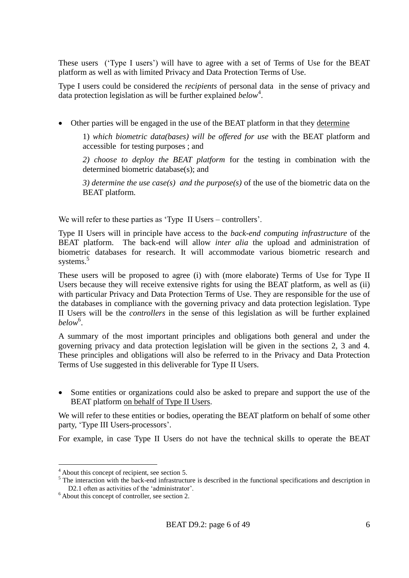These users ('Type I users') will have to agree with a set of Terms of Use for the BEAT platform as well as with limited Privacy and Data Protection Terms of Use.

Type I users could be considered the *recipients* of personal datain the sense of privacy and data protection legislation as will be further explained *below*<sup>4</sup> .

Other parties will be engaged in the use of the BEAT platform in that they determine

1) *which biometric data(bases) will be offered for use* with the BEAT platform and accessible for testing purposes ; and

*2) choose to deploy the BEAT platform* for the testing in combination with the determined biometric database(s); and

*3) determine the use case(s) and the purpose(s)* of the use of the biometric data on the BEAT platform*.*

We will refer to these parties as 'Type II Users – controllers'.

Type II Users will in principle have access to the *back-end computing infrastructure* of the BEAT platform. The back-end will allow *inter alia* the upload and administration of biometric databases for research. It will accommodate various biometric research and systems.<sup>5</sup>

These users will be proposed to agree (i) with (more elaborate) Terms of Use for Type II Users because they will receive extensive rights for using the BEAT platform, as well as (ii) with particular Privacy and Data Protection Terms of Use. They are responsible for the use of the databases in compliance with the governing privacy and data protection legislation. Type II Users will be the *controllers* in the sense of this legislation as will be further explained *below*<sup>6</sup> .

A summary of the most important principles and obligations both general and under the governing privacy and data protection legislation will be given in the sections 2, 3 and 4. These principles and obligations will also be referred to in the Privacy and Data Protection Terms of Use suggested in this deliverable for Type II Users.

 Some entities or organizations could also be asked to prepare and support the use of the BEAT platform on behalf of Type II Users.

We will refer to these entities or bodies, operating the BEAT platform on behalf of some other party, 'Type III Users-processors'.

For example, in case Type II Users do not have the technical skills to operate the BEAT

<sup>4</sup> About this concept of recipient, see section 5.

 $5$  The interaction with the back-end infrastructure is described in the functional specifications and description in D2.1 often as activities of the 'administrator'.

 $6$  About this concept of controller, see section 2.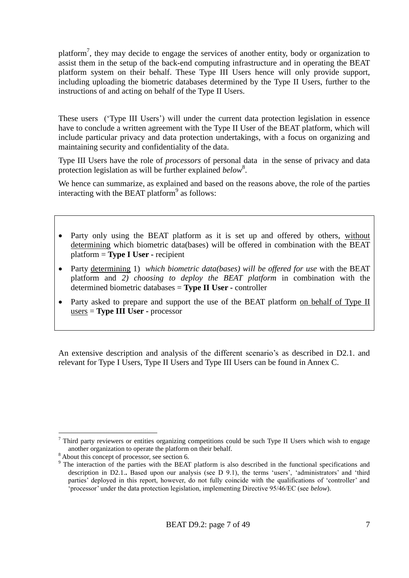platform<sup>7</sup>, they may decide to engage the services of another entity, body or organization to assist them in the setup of the back-end computing infrastructure and in operating the BEAT platform system on their behalf. These Type III Users hence will only provide support, including uploading the biometric databases determined by the Type II Users, further to the instructions of and acting on behalf of the Type II Users.

These users ('Type III Users') will under the current data protection legislation in essence have to conclude a written agreement with the Type II User of the BEAT platform, which will include particular privacy and data protection undertakings, with a focus on organizing and maintaining security and confidentiality of the data.

Type III Users have the role of *processors* of personal datain the sense of privacy and data protection legislation as will be further explained *below*<sup>8</sup>.

We hence can summarize, as explained and based on the reasons above, the role of the parties interacting with the BEAT platform<sup>9</sup> as follows:

- Party only using the BEAT platform as it is set up and offered by others, without determining which biometric data(bases) will be offered in combination with the BEAT platform = **Type I User -** recipient
- Party determining 1) *which biometric data(bases) will be offered for use* with the BEAT platform and *2) choosing to deploy the BEAT platform* in combination with the determined biometric databases = **Type II User -** controller
- Party asked to prepare and support the use of the BEAT platform on behalf of Type II users = **Type III User -** processor

An extensive description and analysis of the different scenario's as described in D2.1. and relevant for Type I Users, Type II Users and Type III Users can be found in Annex C.

<sup>&</sup>lt;sup>7</sup> Third party reviewers or entities organizing competitions could be such Type II Users which wish to engage another organization to operate the platform on their behalf.

<sup>8</sup> About this concept of processor, see section 6.

<sup>&</sup>lt;sup>9</sup> The interaction of the parties with the BEAT platform is also described in the functional specifications and description in D2.1.**.** Based upon our analysis (see D 9.1), the terms 'users', 'administrators' and 'third parties' deployed in this report, however, do not fully coincide with the qualifications of 'controller' and 'processor' under the data protection legislation, implementing Directive 95/46/EC (see *below*).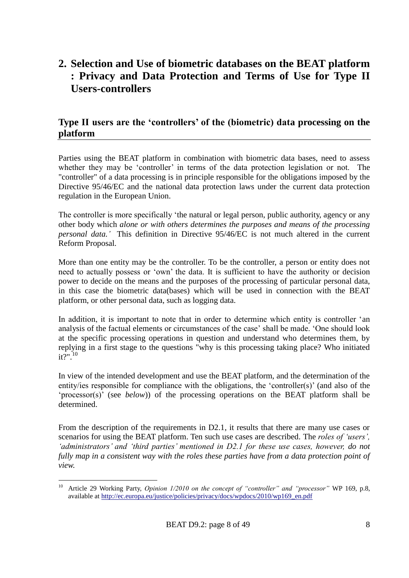# **2. Selection and Use of biometric databases on the BEAT platform : Privacy and Data Protection and Terms of Use for Type II Users-controllers**

#### **Type II users are the 'controllers' of the (biometric) data processing on the platform**

Parties using the BEAT platform in combination with biometric data bases, need to assess whether they may be 'controller' in terms of the data protection legislation or not. The "controller" of a data processing is in principle responsible for the obligations imposed by the Directive 95/46/EC and the national data protection laws under the current data protection regulation in the European Union.

The controller is more specifically 'the natural or legal person, public authority, agency or any other body which *alone or with others determines the purposes and means of the processing personal data.'* This definition in Directive 95/46/EC is not much altered in the current Reform Proposal.

More than one entity may be the controller. To be the controller, a person or entity does not need to actually possess or 'own' the data. It is sufficient to have the authority or decision power to decide on the means and the purposes of the processing of particular personal data, in this case the biometric data(bases) which will be used in connection with the BEAT platform, or other personal data, such as logging data.

In addition, it is important to note that in order to determine which entity is controller 'an analysis of the factual elements or circumstances of the case' shall be made. 'One should look at the specific processing operations in question and understand who determines them, by replying in a first stage to the questions "why is this processing taking place? Who initiated  $it?$ ".<sup>10</sup>

In view of the intended development and use the BEAT platform, and the determination of the entity/ies responsible for compliance with the obligations, the 'controller(s)' (and also of the 'processor(s)' (see *below*)) of the processing operations on the BEAT platform shall be determined.

From the description of the requirements in D2.1, it results that there are many use cases or scenarios for using the BEAT platform. Ten such use cases are described. The *roles of 'users', 'administrators' and 'third parties' mentioned in D2.1 for these use cases, however, do not fully map in a consistent way with the roles these parties have from a data protection point of view.*

 $10<sup>10</sup>$ <sup>10</sup> Article 29 Working Party, *Opinion 1/2010 on the concept of "controller" and "processor"* WP 169, p.8, available at [http://ec.europa.eu/justice/policies/privacy/docs/wpdocs/2010/wp169\\_en.pdf](http://ec.europa.eu/justice/policies/privacy/docs/wpdocs/2010/wp169_en.pdf)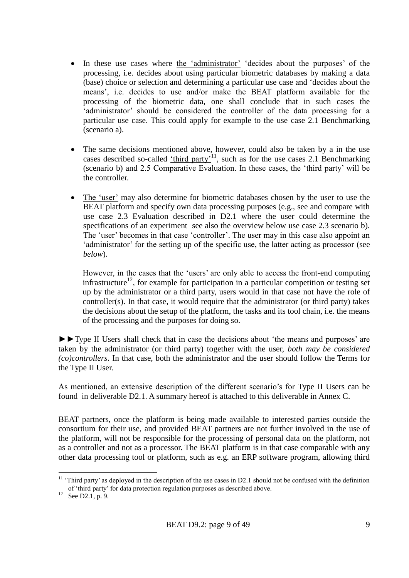- In these use cases where the 'administrator' 'decides about the purposes' of the processing, i.e. decides about using particular biometric databases by making a data (base) choice or selection and determining a particular use case and 'decides about the means', i.e. decides to use and/or make the BEAT platform available for the processing of the biometric data, one shall conclude that in such cases the 'administrator' should be considered the controller of the data processing for a particular use case. This could apply for example to the use case 2.1 Benchmarking (scenario a).
- The same decisions mentioned above, however, could also be taken by a in the use cases described so-called  $'$ third party'<sup>11</sup>, such as for the use cases 2.1 Benchmarking (scenario b) and 2.5 Comparative Evaluation. In these cases, the 'third party' will be the controller.
- The 'user' may also determine for biometric databases chosen by the user to use the BEAT platform and specify own data processing purposes (e.g., see and compare with use case 2.3 Evaluation described in D2.1 where the user could determine the specifications of an experiment see also the overview below use case 2.3 scenario b). The 'user' becomes in that case 'controller'. The user may in this case also appoint an 'administrator' for the setting up of the specific use, the latter acting as processor (see *below*).

However, in the cases that the 'users' are only able to access the front-end computing infrastructure<sup>12</sup>, for example for participation in a particular competition or testing set up by the administrator or a third party, users would in that case not have the role of controller(s). In that case, it would require that the administrator (or third party) takes the decisions about the setup of the platform, the tasks and its tool chain, i.e. the means of the processing and the purposes for doing so.

►►Type II Users shall check that in case the decisions about 'the means and purposes' are taken by the administrator (or third party) together with the user, *both may be considered (co)controllers*. In that case, both the administrator and the user should follow the Terms for the Type II User.

As mentioned, an extensive description of the different scenario's for Type II Users can be found in deliverable D2.1. A summary hereof is attached to this deliverable in Annex C.

BEAT partners, once the platform is being made available to interested parties outside the consortium for their use, and provided BEAT partners are not further involved in the use of the platform, will not be responsible for the processing of personal data on the platform, not as a controller and not as a processor. The BEAT platform is in that case comparable with any other data processing tool or platform, such as e.g. an ERP software program, allowing third

 $11$  'Third party' as deployed in the description of the use cases in D2.1 should not be confused with the definition of 'third party' for data protection regulation purposes as described above.

 $12 \text{ See D2.1, p. 9.}$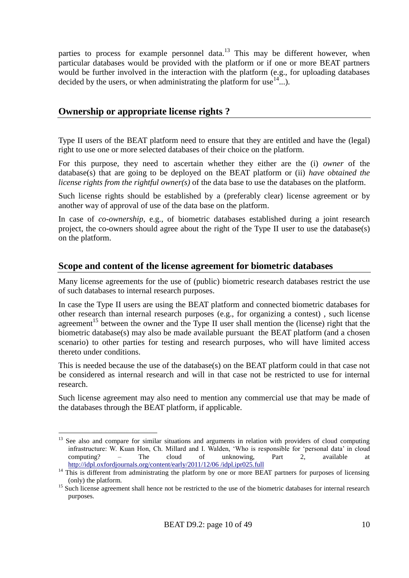parties to process for example personnel data.<sup>13</sup> This may be different however, when particular databases would be provided with the platform or if one or more BEAT partners would be further involved in the interaction with the platform (e.g., for uploading databases decided by the users, or when administrating the platform for use  $14^{\circ}$ ...).

#### **Ownership or appropriate license rights ?**

1

Type II users of the BEAT platform need to ensure that they are entitled and have the (legal) right to use one or more selected databases of their choice on the platform.

For this purpose, they need to ascertain whether they either are the (i) *owner* of the database(s) that are going to be deployed on the BEAT platform or (ii) *have obtained the license rights from the rightful owner(s)* of the data base to use the databases on the platform.

Such license rights should be established by a (preferably clear) license agreement or by another way of approval of use of the data base on the platform.

In case of *co-ownership*, e.g., of biometric databases established during a joint research project, the co-owners should agree about the right of the Type II user to use the database(s) on the platform.

#### **Scope and content of the license agreement for biometric databases**

Many license agreements for the use of (public) biometric research databases restrict the use of such databases to internal research purposes.

In case the Type II users are using the BEAT platform and connected biometric databases for other research than internal research purposes (e.g., for organizing a contest) , such license agreement<sup>15</sup> between the owner and the Type II user shall mention the (license) right that the biometric database(s) may also be made available pursuant the BEAT platform (and a chosen scenario) to other parties for testing and research purposes, who will have limited access thereto under conditions.

This is needed because the use of the database(s) on the BEAT platform could in that case not be considered as internal research and will in that case not be restricted to use for internal research.

Such license agreement may also need to mention any commercial use that may be made of the databases through the BEAT platform, if applicable.

<sup>&</sup>lt;sup>13</sup> See also and compare for similar situations and arguments in relation with providers of cloud computing infrastructure: W. Kuan Hon, Ch. Millard and I. Walden, 'Who is responsible for 'personal data' in cloud computing? – The cloud of unknowing, Part 2, available at [http://idpl.oxfordjournals.org/content/early/2011/12/06 /idpl.ipr025.full](http://idpl.oxfordjournals.org/content/early/2011/12/06%20/idpl.ipr025.full)

<sup>&</sup>lt;sup>14</sup> This is different from administrating the platform by one or more BEAT partners for purposes of licensing (only) the platform.

<sup>&</sup>lt;sup>15</sup> Such license agreement shall hence not be restricted to the use of the biometric databases for internal research purposes.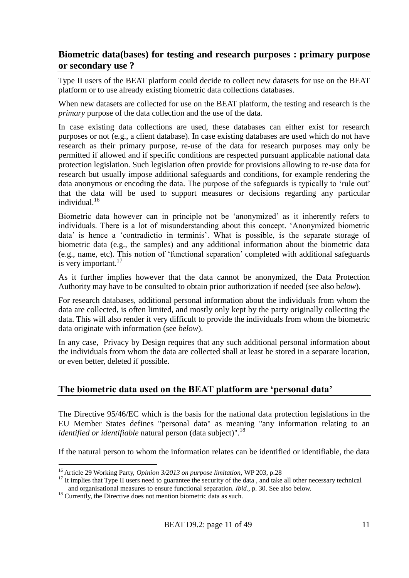#### **Biometric data(bases) for testing and research purposes : primary purpose or secondary use ?**

Type II users of the BEAT platform could decide to collect new datasets for use on the BEAT platform or to use already existing biometric data collections databases.

When new datasets are collected for use on the BEAT platform, the testing and research is the *primary* purpose of the data collection and the use of the data.

In case existing data collections are used, these databases can either exist for research purposes or not (e.g., a client database). In case existing databases are used which do not have research as their primary purpose, re-use of the data for research purposes may only be permitted if allowed and if specific conditions are respected pursuant applicable national data protection legislation. Such legislation often provide for provisions allowing to re-use data for research but usually impose additional safeguards and conditions, for example rendering the data anonymous or encoding the data. The purpose of the safeguards is typically to 'rule out' that the data will be used to support measures or decisions regarding any particular individual.<sup>16</sup>

Biometric data however can in principle not be 'anonymized' as it inherently refers to individuals. There is a lot of misunderstanding about this concept. 'Anonymized biometric data' is hence a 'contradictio in terminis'. What is possible, is the separate storage of biometric data (e.g., the samples) and any additional information about the biometric data (e.g., name, etc). This notion of 'functional separation' completed with additional safeguards is very important. $17$ 

As it further implies however that the data cannot be anonymized, the Data Protection Authority may have to be consulted to obtain prior authorization if needed (see also b*elow*).

For research databases, additional personal information about the individuals from whom the data are collected, is often limited, and mostly only kept by the party originally collecting the data. This will also render it very difficult to provide the individuals from whom the biometric data originate with information (see *below*).

In any case, Privacy by Design requires that any such additional personal information about the individuals from whom the data are collected shall at least be stored in a separate location, or even better, deleted if possible.

#### **The biometric data used on the BEAT platform are 'personal data'**

The Directive 95/46/EC which is the basis for the national data protection legislations in the EU Member States defines "personal data" as meaning "any information relating to an *identified or identifiable* natural person (data subject)".<sup>18</sup>

If the natural person to whom the information relates can be identified or identifiable, the data

<sup>16</sup> Article 29 Working Party, *Opinion 3/2013 on purpose limitation,* WP 203, p.28

<sup>&</sup>lt;sup>17</sup> It implies that Type II users need to guarantee the security of the data, and take all other necessary technical and organisational measures to ensure functional separation. *Ibid.,* p. 30. See also below.

 $18$  Currently, the Directive does not mention biometric data as such.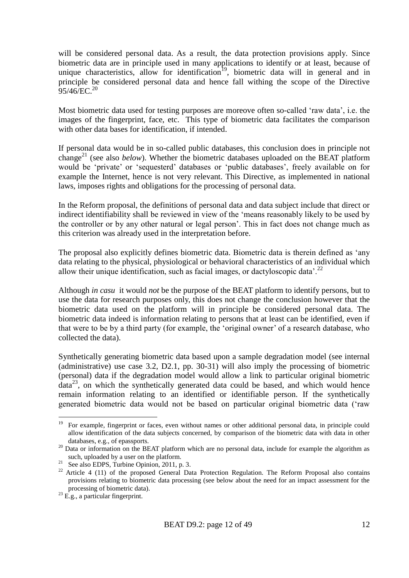will be considered personal data. As a result, the data protection provisions apply*.* Since biometric data are in principle used in many applications to identify or at least, because of unique characteristics, allow for identification<sup>19</sup>, biometric data will in general and in principle be considered personal data and hence fall withing the scope of the Directive 95/46/EC.<sup>20</sup>

Most biometric data used for testing purposes are moreove often so-called 'raw data', i.e. the images of the fingerprint, face, etc. This type of biometric data facilitates the comparison with other data bases for identification, if intended.

If personal data would be in so-called public databases, this conclusion does in principle not change<sup>21</sup> (see also *below*). Whether the biometric databases uploaded on the BEAT platform would be 'private' or 'sequesterd' databases or 'public databases', freely available on for example the Internet, hence is not very relevant. This Directive, as implemented in national laws, imposes rights and obligations for the processing of personal data.

In the Reform proposal, the definitions of personal data and data subject include that direct or indirect identifiability shall be reviewed in view of the 'means reasonably likely to be used by the controller or by any other natural or legal person'. This in fact does not change much as this criterion was already used in the interpretation before.

The proposal also explicitly defines biometric data. Biometric data is therein defined as 'any data relating to the physical, physiological or behavioral characteristics of an individual which allow their unique identification, such as facial images, or dactyloscopic data'.<sup>22</sup>

Although *in casu* it would *not* be the purpose of the BEAT platform to identify persons, but to use the data for research purposes only, this does not change the conclusion however that the biometric data used on the platform will in principle be considered personal data. The biometric data indeed is information relating to persons that at least can be identified, even if that were to be by a third party (for example, the 'original owner' of a research database, who collected the data).

Synthetically generating biometric data based upon a sample degradation model (see internal (administrative) use case 3.2, D2.1, pp. 30-31) will also imply the processing of biometric (personal) data if the degradation model would allow a link to particular original biometric data<sup>23</sup>, on which the synthetically generated data could be based, and which would hence remain information relating to an identified or identifiable person. If the synthetically generated biometric data would not be based on particular original biometric data ('raw

<sup>&</sup>lt;u>.</u> <sup>19</sup> For example, fingerprint or faces, even without names or other additional personal data, in principle could allow identification of the data subjects concerned, by comparison of the biometric data with data in other databases, e.g., of epassports.

<sup>&</sup>lt;sup>20</sup> Data or information on the BEAT platform which are no personal data, include for example the algorithm as such, uploaded by a user on the platform.

<sup>&</sup>lt;sup>21</sup> See also EDPS, Turbine Opinion, 2011, p. 3.

<sup>&</sup>lt;sup>22</sup> Article 4 (11) of the proposed General Data Protection Regulation. The Reform Proposal also contains provisions relating to biometric data processing (see below about the need for an impact assessment for the processing of biometric data).

 $23$  E.g., a particular fingerprint.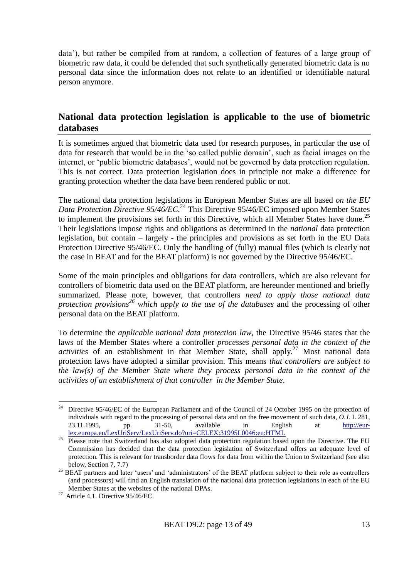data'), but rather be compiled from at random, a collection of features of a large group of biometric raw data, it could be defended that such synthetically generated biometric data is no personal data since the information does not relate to an identified or identifiable natural person anymore.

#### **National data protection legislation is applicable to the use of biometric databases**

It is sometimes argued that biometric data used for research purposes, in particular the use of data for research that would be in the 'so called public domain', such as facial images on the internet, or 'public biometric databases', would not be governed by data protection regulation. This is not correct. Data protection legislation does in principle not make a difference for granting protection whether the data have been rendered public or not.

The national data protection legislations in European Member States are all based *on the EU Data Protection Directive 95/46/EC.*<sup>24</sup> This Directive 95/46/EC imposed upon Member States to implement the provisions set forth in this Directive, which all Member States have done.<sup>25</sup> Their legislations impose rights and obligations as determined in the *national* data protection legislation, but contain – largely - the principles and provisions as set forth in the EU Data Protection Directive 95/46/EC. Only the handling of (fully) manual files (which is clearly not the case in BEAT and for the BEAT platform) is not governed by the Directive 95/46/EC.

Some of the main principles and obligations for data controllers, which are also relevant for controllers of biometric data used on the BEAT platform, are hereunder mentioned and briefly summarized. Please note, however, that controllers *need to apply those national data protection provisions<sup>26</sup> which apply to the use of the databases* and the processing of other personal data on the BEAT platform.

To determine the *applicable national data protection law*, the Directive 95/46 states that the laws of the Member States where a controller *processes personal data in the context of the activities* of an establishment in that Member State, shall apply. <sup>27</sup> Most national data protection laws have adopted a similar provision. This means *that controllers are subject to the law(s) of the Member State where they process personal data in the context of the activities of an establishment of that controller in the Member State*.

<sup>1</sup> <sup>24</sup> Directive 95/46/EC of the European Parliament and of the Council of 24 October 1995 on the protection of individuals with regard to the processing of personal data and on the free movement of such data, *O.J*. L 281, 23.11.1995, pp. 31-50, available in English at  $\frac{http://eur-1}{http://eur-1}$ [lex.europa.eu/LexUriServ/LexUriServ.do?uri=CELEX:31995L0046:en:HTML](http://eur-lex.europa.eu/LexUriServ/LexUriServ.do?uri=CELEX:31995L0046:en:HTML) 

<sup>&</sup>lt;sup>25</sup> Please note that Switzerland has also adopted data protection regulation based upon the Directive. The EU Commission has decided that the data protection legislation of Switzerland offers an adequate level of protection. This is relevant for transborder data flows for data from within the Union to Switzerland (see also below, Section 7, 7.7)

<sup>&</sup>lt;sup>26</sup> BEAT partners and later 'users' and 'administrators' of the BEAT platform subject to their role as controllers (and processors) will find an English translation of the national data protection legislations in each of the EU Member States at the websites of the national DPAs.

<sup>&</sup>lt;sup>27</sup> Article 4.1. Directive  $95/46/EC$ .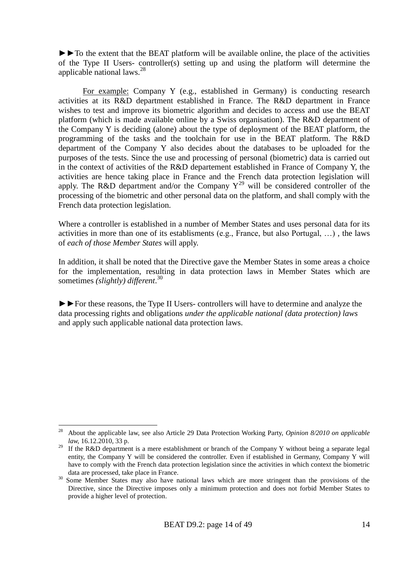►►To the extent that the BEAT platform will be available online, the place of the activities of the Type II Users- controller(s) setting up and using the platform will determine the applicable national laws.<sup>28</sup>

For example: Company Y (e.g., established in Germany) is conducting research activities at its R&D department established in France. The R&D department in France wishes to test and improve its biometric algorithm and decides to access and use the BEAT platform (which is made available online by a Swiss organisation). The R&D department of the Company Y is deciding (alone) about the type of deployment of the BEAT platform, the programming of the tasks and the toolchain for use in the BEAT platform. The R&D department of the Company Y also decides about the databases to be uploaded for the purposes of the tests. Since the use and processing of personal (biometric) data is carried out in the context of activities of the R&D departement established in France of Company Y, the activities are hence taking place in France and the French data protection legislation will apply. The R&D department and/or the Company  $Y^{29}$  will be considered controller of the processing of the biometric and other personal data on the platform, and shall comply with the French data protection legislation.

Where a controller is established in a number of Member States and uses personal data for its activities in more than one of its establisments (e.g., France, but also Portugal, …) , the laws of *each of those Member States* will apply.

In addition, it shall be noted that the Directive gave the Member States in some areas a choice for the implementation, resulting in data protection laws in Member States which are sometimes *(slightly) different*. 30

►►For these reasons, the Type II Users- controllers will have to determine and analyze the data processing rights and obligations *under the applicable national (data protection) laws* and apply such applicable national data protection laws.

 $28\,$ <sup>28</sup> About the applicable law, see also Article 29 Data Protection Working Party, *Opinion 8/2010 on applicable law,* 16.12.2010, 33 p.

<sup>&</sup>lt;sup>29</sup> If the R&D department is a mere establishment or branch of the Company Y without being a separate legal entity, the Company Y will be considered the controller. Even if established in Germany, Company Y will have to comply with the French data protection legislation since the activities in which context the biometric data are processed, take place in France.

<sup>&</sup>lt;sup>30</sup> Some Member States may also have national laws which are more stringent than the provisions of the Directive, since the Directive imposes only a minimum protection and does not forbid Member States to provide a higher level of protection.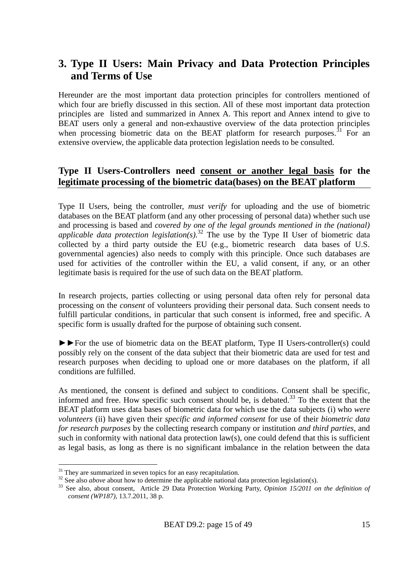# **3. Type II Users: Main Privacy and Data Protection Principles and Terms of Use**

Hereunder are the most important data protection principles for controllers mentioned of which four are briefly discussed in this section. All of these most important data protection principles are listed and summarized in Annex A. This report and Annex intend to give to BEAT users only a general and non-exhaustive overview of the data protection principles when processing biometric data on the BEAT platform for research purposes.<sup>31</sup> For an extensive overview, the applicable data protection legislation needs to be consulted.

#### **Type II Users-Controllers need consent or another legal basis for the legitimate processing of the biometric data(bases) on the BEAT platform**

Type II Users, being the controller, *must verify* for uploading and the use of biometric databases on the BEAT platform (and any other processing of personal data) whether such use and processing is based and *covered by one of the legal grounds mentioned in the (national) applicable data protection legislation(s)*.<sup>32</sup> The use by the Type II User of biometric data collected by a third party outside the EU (e.g., biometric research data bases of U.S. governmental agencies) also needs to comply with this principle. Once such databases are used for activities of the controller within the EU, a valid consent, if any, or an other legitimate basis is required for the use of such data on the BEAT platform.

In research projects, parties collecting or using personal data often rely for personal data processing on the *consent* of volunteers providing their personal data. Such consent needs to fulfill particular conditions, in particular that such consent is informed, free and specific. A specific form is usually drafted for the purpose of obtaining such consent.

►►For the use of biometric data on the BEAT platform, Type II Users-controller(s) could possibly rely on the consent of the data subject that their biometric data are used for test and research purposes when deciding to upload one or more databases on the platform, if all conditions are fulfilled.

As mentioned, the consent is defined and subject to conditions. Consent shall be specific, informed and free. How specific such consent should be, is debated.<sup>33</sup> To the extent that the BEAT platform uses data bases of biometric data for which use the data subjects (i) who *were volunteers* (ii) have given their *specific and informed consent* for use of their *biometric data for research purposes* by the collecting research company or institution *and third parties*, and such in conformity with national data protection law(s), one could defend that this is sufficient as legal basis, as long as there is no significant imbalance in the relation between the data

 $31$  They are summarized in seven topics for an easy recapitulation.

<sup>&</sup>lt;sup>32</sup> See also *above* about how to determine the applicable national data protection legislation(s).

<sup>&</sup>lt;sup>33</sup> See also, about consent, Article 29 Data Protection Working Party, *Opinion 15/2011 on the definition of consent (WP187),* 13.7.2011, 38 p.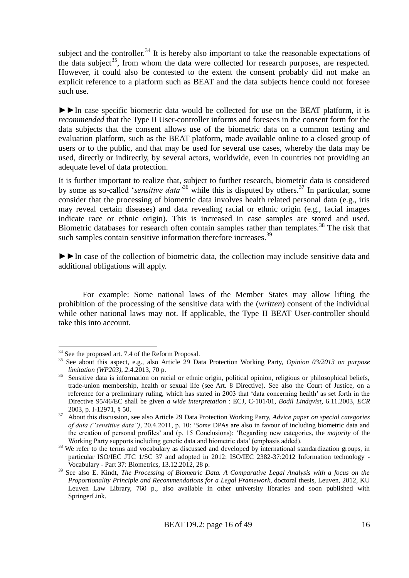subject and the controller.<sup>34</sup> It is hereby also important to take the reasonable expectations of the data subject<sup>35</sup>, from whom the data were collected for research purposes, are respected. However, it could also be contested to the extent the consent probably did not make an explicit reference to a platform such as BEAT and the data subjects hence could not foresee such use.

►►In case specific biometric data would be collected for use on the BEAT platform, it is *recommended* that the Type II User-controller informs and foresees in the consent form for the data subjects that the consent allows use of the biometric data on a common testing and evaluation platform, such as the BEAT platform, made available online to a closed group of users or to the public, and that may be used for several use cases, whereby the data may be used, directly or indirectly, by several actors, worldwide, even in countries not providing an adequate level of data protection.

It is further important to realize that, subject to further research, biometric data is considered by some as so-called '*sensitive data'*<sup>36</sup> while this is disputed by others.<sup>37</sup> In particular, some consider that the processing of biometric data involves health related personal data (e.g., iris may reveal certain diseases) and data revealing racial or ethnic origin (e.g., facial images indicate race or ethnic origin). This is increased in case samples are stored and used. Biometric databases for research often contain samples rather than templates.<sup>38</sup> The risk that such samples contain sensitive information therefore increases.<sup>39</sup>

►►In case of the collection of biometric data, the collection may include sensitive data and additional obligations will apply.

For example: Some national laws of the Member States may allow lifting the prohibition of the processing of the sensitive data with the (*written*) consent of the individual while other national laws may not. If applicable, the Type II BEAT User-controller should take this into account.

<u>.</u>

<sup>&</sup>lt;sup>34</sup> See the proposed art. 7.4 of the Reform Proposal.

<sup>35</sup> See about this aspect, e.g., also Article 29 Data Protection Working Party, *Opinion 03/2013 on purpose limitation (WP203), 2*.4.2013, 70 p.

<sup>&</sup>lt;sup>36</sup> Sensitive data is information on racial or ethnic origin, political opinion, religious or philosophical beliefs, trade-union membership, health or sexual life (see Art. 8 Directive). See also the Court of Justice, on a reference for a preliminary ruling, which has stated in 2003 that 'data concerning health' as set forth in the Directive 95/46/EC shall be given *a wide interpretation* : ECJ, C-101/01, *Bodil Lindqvist*, 6.11.2003, *ECR* 2003, p. I-12971, § 50.

<sup>37</sup> About this discussion, see also Article 29 Data Protection Working Party, *Advice paper on special categories of data ("sensitive data")*, 20.4.2011, p. 10: '*Some* DPAs are also in favour of including biometric data and the creation of personal profiles' and (p. 15 Conclusions): 'Regarding new categories, the *majority* of the Working Party supports including genetic data and biometric data' (emphasis added).

<sup>&</sup>lt;sup>38</sup> We refer to the terms and vocabulary as discussed and developed by international standardization groups, in particular ISO/IEC JTC 1/SC 37 and adopted in 2012: ISO/IEC 2382-37:2012 Information technology - Vocabulary - Part 37: Biometrics, 13.12.2012, 28 p.

<sup>&</sup>lt;sup>39</sup> See also E. Kindt, *The Processing of Biometric Data. A Comparative Legal Analysis with a focus on the Proportionality Principle and Recommendations for a Legal Framework*, doctoral thesis, Leuven, 2012, KU Leuven Law Library, 760 p., also available in other university libraries and soon published with SpringerLink.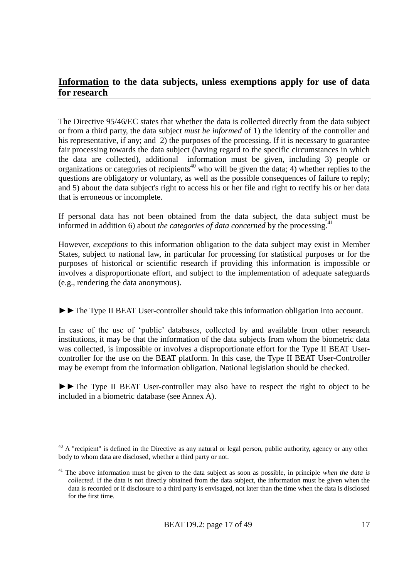#### **Information to the data subjects, unless exemptions apply for use of data for research**

The Directive 95/46/EC states that whether the data is collected directly from the data subject or from a third party, the data subject *must be informed* of 1) the identity of the controller and his representative, if any; and 2) the purposes of the processing. If it is necessary to guarantee fair processing towards the data subject (having regard to the specific circumstances in which the data are collected), additional information must be given, including 3) people or organizations or categories of recipients<sup>40</sup> who will be given the data; 4) whether replies to the questions are obligatory or voluntary, as well as the possible consequences of failure to reply; and 5) about the data subject's right to access his or her file and right to rectify his or her data that is erroneous or incomplete.

If personal data has not been obtained from the data subject, the data subject must be informed in addition 6) about *the categories of data concerned* by the processing.<sup>41</sup>

However, *exceptions* to this information obligation to the data subject may exist in Member States, subject to national law, in particular for processing for statistical purposes or for the purposes of historical or scientific research if providing this information is impossible or involves a disproportionate effort, and subject to the implementation of adequate safeguards (e.g., rendering the data anonymous).

►►The Type II BEAT User-controller should take this information obligation into account.

In case of the use of 'public' databases, collected by and available from other research institutions, it may be that the information of the data subjects from whom the biometric data was collected, is impossible or involves a disproportionate effort for the Type II BEAT Usercontroller for the use on the BEAT platform. In this case, the Type II BEAT User-Controller may be exempt from the information obligation. National legislation should be checked.

►►The Type II BEAT User-controller may also have to respect the right to object to be included in a biometric database (see Annex A).

<u>.</u>

 $^{40}$  A "recipient" is defined in the Directive as any natural or legal person, public authority, agency or any other body to whom data are disclosed, whether a third party or not.

<sup>&</sup>lt;sup>41</sup> The above information must be given to the data subject as soon as possible, in principle *when the data is collected*. If the data is not directly obtained from the data subject, the information must be given when the data is recorded or if disclosure to a third party is envisaged, not later than the time when the data is disclosed for the first time.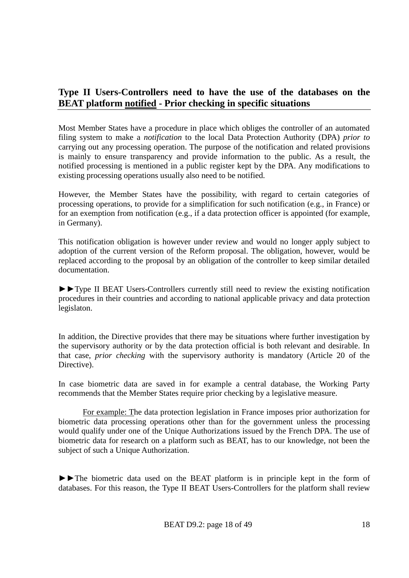#### **Type II Users-Controllers need to have the use of the databases on the BEAT platform notified - Prior checking in specific situations**

Most Member States have a procedure in place which obliges the controller of an automated filing system to make a *notification* to the local Data Protection Authority (DPA) *prior to* carrying out any processing operation. The purpose of the notification and related provisions is mainly to ensure transparency and provide information to the public. As a result, the notified processing is mentioned in a public register kept by the DPA. Any modifications to existing processing operations usually also need to be notified.

However, the Member States have the possibility, with regard to certain categories of processing operations, to provide for a simplification for such notification (e.g., in France) or for an exemption from notification (e.g., if a data protection officer is appointed (for example, in Germany).

This notification obligation is however under review and would no longer apply subject to adoption of the current version of the Reform proposal. The obligation, however, would be replaced according to the proposal by an obligation of the controller to keep similar detailed documentation.

►►Type II BEAT Users-Controllers currently still need to review the existing notification procedures in their countries and according to national applicable privacy and data protection legislaton.

In addition, the Directive provides that there may be situations where further investigation by the supervisory authority or by the data protection official is both relevant and desirable. In that case, *prior checking* with the supervisory authority is mandatory (Article 20 of the Directive).

In case biometric data are saved in for example a central database, the Working Party recommends that the Member States require prior checking by a legislative measure.

For example: The data protection legislation in France imposes prior authorization for biometric data processing operations other than for the government unless the processing would qualify under one of the Unique Authorizations issued by the French DPA. The use of biometric data for research on a platform such as BEAT, has to our knowledge, not been the subject of such a Unique Authorization.

►►The biometric data used on the BEAT platform is in principle kept in the form of databases. For this reason, the Type II BEAT Users-Controllers for the platform shall review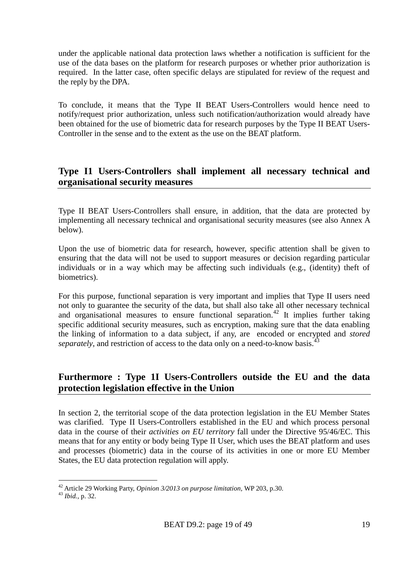under the applicable national data protection laws whether a notification is sufficient for the use of the data bases on the platform for research purposes or whether prior authorization is required. In the latter case, often specific delays are stipulated for review of the request and the reply by the DPA.

To conclude, it means that the Type II BEAT Users-Controllers would hence need to notify/request prior authorization, unless such notification/authorization would already have been obtained for the use of biometric data for research purposes by the Type II BEAT Users-Controller in the sense and to the extent as the use on the BEAT platform.

#### **Type I1 Users-Controllers shall implement all necessary technical and organisational security measures**

Type II BEAT Users-Controllers shall ensure, in addition, that the data are protected by implementing all necessary technical and organisational security measures (see also Annex A below).

Upon the use of biometric data for research, however, specific attention shall be given to ensuring that the data will not be used to support measures or decision regarding particular individuals or in a way which may be affecting such individuals (e.g., (identity) theft of biometrics).

For this purpose, functional separation is very important and implies that Type II users need not only to guarantee the security of the data, but shall also take all other necessary technical and organisational measures to ensure functional separation.<sup>42</sup> It implies further taking specific additional security measures, such as encryption, making sure that the data enabling the linking of information to a data subject, if any, are encoded or encrypted and *stored separately*, and restriction of access to the data only on a need-to-know basis.<sup>4</sup>

#### **Furthermore : Type 1I Users-Controllers outside the EU and the data protection legislation effective in the Union**

In section 2, the territorial scope of the data protection legislation in the EU Member States was clarified. Type II Users-Controllers established in the EU and which process personal data in the course of their *activities on EU territory* fall under the Directive 95/46/EC. This means that for any entity or body being Type II User, which uses the BEAT platform and uses and processes (biometric) data in the course of its activities in one or more EU Member States, the EU data protection regulation will apply.

<sup>42</sup> Article 29 Working Party, *Opinion 3/2013 on purpose limitation,* WP 203, p.30.

<sup>43</sup> *Ibid.,* p. 32.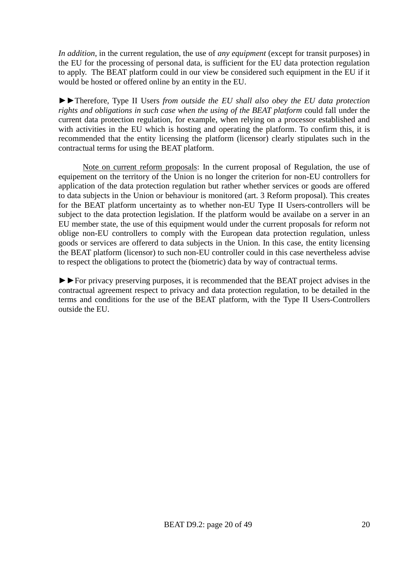*In addition*, in the current regulation, the use of *any equipment* (except for transit purposes) in the EU for the processing of personal data, is sufficient for the EU data protection regulation to apply. The BEAT platform could in our view be considered such equipment in the EU if it would be hosted or offered online by an entity in the EU.

►►Therefore, Type II Users *from outside the EU shall also obey the EU data protection rights and obligations in such case when the using of the BEAT platform* could fall under the current data protection regulation, for example, when relying on a processor established and with activities in the EU which is hosting and operating the platform. To confirm this, it is recommended that the entity licensing the platform (licensor) clearly stipulates such in the contractual terms for using the BEAT platform.

Note on current reform proposals: In the current proposal of Regulation, the use of equipement on the territory of the Union is no longer the criterion for non-EU controllers for application of the data protection regulation but rather whether services or goods are offered to data subjects in the Union or behaviour is monitored (art. 3 Reform proposal). This creates for the BEAT platform uncertainty as to whether non-EU Type II Users-controllers will be subject to the data protection legislation. If the platform would be availabe on a server in an EU member state, the use of this equipment would under the current proposals for reform not oblige non-EU controllers to comply with the European data protection regulation, unless goods or services are offererd to data subjects in the Union. In this case, the entity licensing the BEAT platform (licensor) to such non-EU controller could in this case nevertheless advise to respect the obligations to protect the (biometric) data by way of contractual terms.

►►For privacy preserving purposes, it is recommended that the BEAT project advises in the contractual agreement respect to privacy and data protection regulation, to be detailed in the terms and conditions for the use of the BEAT platform, with the Type II Users-Controllers outside the EU.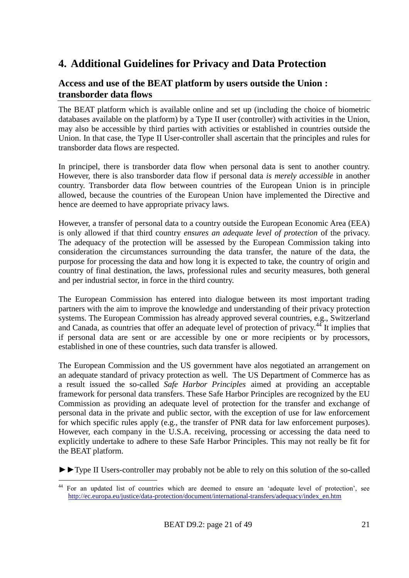# **4. Additional Guidelines for Privacy and Data Protection**

#### **Access and use of the BEAT platform by users outside the Union : transborder data flows**

The BEAT platform which is available online and set up (including the choice of biometric databases available on the platform) by a Type II user (controller) with activities in the Union, may also be accessible by third parties with activities or established in countries outside the Union. In that case, the Type II User-controller shall ascertain that the principles and rules for transborder data flows are respected.

In principel, there is transborder data flow when personal data is sent to another country. However, there is also transborder data flow if personal data *is merely accessible* in another country. Transborder data flow between countries of the European Union is in principle allowed, because the countries of the European Union have implemented the Directive and hence are deemed to have appropriate privacy laws.

However, a transfer of personal data to a country outside the European Economic Area (EEA) is only allowed if that third country *ensures an adequate level of protection* of the privacy. The adequacy of the protection will be assessed by the European Commission taking into consideration the circumstances surrounding the data transfer, the nature of the data, the purpose for processing the data and how long it is expected to take, the country of origin and country of final destination, the laws, professional rules and security measures, both general and per industrial sector, in force in the third country.

The European Commission has entered into dialogue between its most important trading partners with the aim to improve the knowledge and understanding of their privacy protection systems. The European Commission has already approved several countries, e.g., Switzerland and Canada, as countries that offer an adequate level of protection of privacy.<sup>44</sup> It implies that if personal data are sent or are accessible by one or more recipients or by processors, established in one of these countries, such data transfer is allowed.

The European Commission and the US government have alos negotiated an arrangement on an adequate standard of privacy protection as well. The US Department of Commerce has as a result issued the so-called *Safe Harbor Principles* aimed at providing an acceptable framework for personal data transfers. These Safe Harbor Principles are recognized by the EU Commission as providing an adequate level of protection for the transfer and exchange of personal data in the private and public sector, with the exception of use for law enforcement for which specific rules apply (e.g., the transfer of PNR data for law enforcement purposes). However, each company in the U.S.A. receiving, processing or accessing the data need to explicitly undertake to adhere to these Safe Harbor Principles. This may not really be fit for the BEAT platform.

►►Type II Users-controller may probably not be able to rely on this solution of the so-called

<sup>1</sup> <sup>44</sup> For an updated list of countries which are deemed to ensure an 'adequate level of protection', see [http://ec.europa.eu/justice/data-protection/document/international-transfers/adequacy/index\\_en.htm](http://ec.europa.eu/justice/data-protection/document/international-transfers/adequacy/index_en.htm)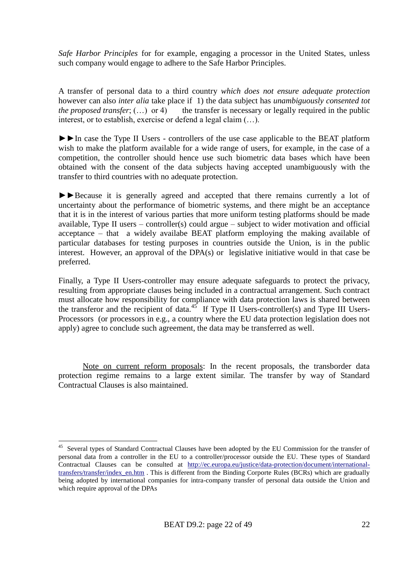*Safe Harbor Principles* for for example, engaging a processor in the United States, unless such company would engage to adhere to the Safe Harbor Principles.

A transfer of personal data to a third country *which does not ensure adequate protection* however can also *inter alia* take place if 1) the data subject has *unambiguously consented tot the proposed transfer*;  $( ...)$  or 4) the transfer is necessary or legally required in the public interest, or to establish, exercise or defend a legal claim (…).

►►In case the Type II Users - controllers of the use case applicable to the BEAT platform wish to make the platform available for a wide range of users, for example, in the case of a competition, the controller should hence use such biometric data bases which have been obtained with the consent of the data subjects having accepted unambiguously with the transfer to third countries with no adequate protection.

►►Because it is generally agreed and accepted that there remains currently a lot of uncertainty about the performance of biometric systems, and there might be an acceptance that it is in the interest of various parties that more uniform testing platforms should be made available, Type II users – controller(s) could argue – subject to wider motivation and official acceptance – that a widely availabe BEAT platform employing the making available of particular databases for testing purposes in countries outside the Union, is in the public interest. However, an approval of the DPA(s) or legislative initiative would in that case be preferred.

Finally, a Type II Users-controller may ensure adequate safeguards to protect the privacy, resulting from appropriate clauses being included in a contractual arrangement. Such contract must allocate how responsibility for compliance with data protection laws is shared between the transferor and the recipient of data.<sup>45</sup> If Type II Users-controller(s) and Type III Users-Processors (or processors in e.g., a country where the EU data protection legislation does not apply) agree to conclude such agreement, the data may be transferred as well.

Note on current reform proposals: In the recent proposals, the transborder data protection regime remains to a large extent similar. The transfer by way of Standard Contractual Clauses is also maintained.

<sup>&</sup>lt;u>.</u> <sup>45</sup> Several types of Standard Contractual Clauses have been adopted by the EU Commission for the transfer of personal data from a controller in the EU to a controller/processor outside the EU. These types of Standard Contractual Clauses can be consulted at [http://ec.europa.eu/justice/data-protection/document/international](http://ec.europa.eu/justice/data-protection/document/international-transfers/transfer/index_en.htm)[transfers/transfer/index\\_en.htm](http://ec.europa.eu/justice/data-protection/document/international-transfers/transfer/index_en.htm) . This is different from the Binding Corporte Rules (BCRs) which are gradually being adopted by international companies for intra-company transfer of personal data outside the Union and which require approval of the DPAs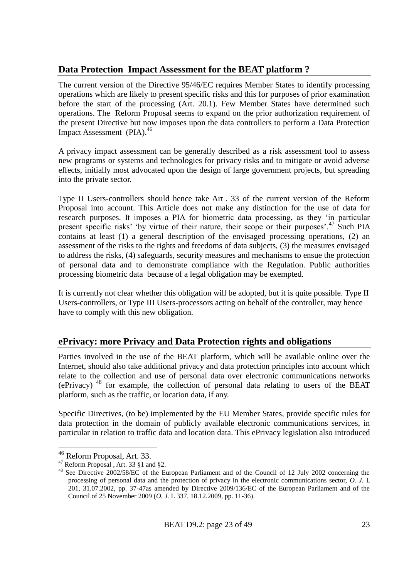#### **Data Protection Impact Assessment for the BEAT platform ?**

The current version of the Directive 95/46/EC requires Member States to identify processing operations which are likely to present specific risks and this for purposes of prior examination before the start of the processing (Art. 20.1). Few Member States have determined such operations. The Reform Proposal seems to expand on the prior authorization requirement of the present Directive but now imposes upon the data controllers to perform a Data Protection Impact Assessment (PIA). 46

A privacy impact assessment can be generally described as a risk assessment tool to assess new programs or systems and technologies for privacy risks and to mitigate or avoid adverse effects, initially most advocated upon the design of large government projects, but spreading into the private sector.

Type II Users-controllers should hence take Art . 33 of the current version of the Reform Proposal into account. This Article does not make any distinction for the use of data for research purposes. It imposes a PIA for biometric data processing, as they 'in particular present specific risks' 'by virtue of their nature, their scope or their purposes'.<sup>47</sup> Such PIA contains at least (1) a general description of the envisaged processing operations, (2) an assessment of the risks to the rights and freedoms of data subjects, (3) the measures envisaged to address the risks, (4) safeguards, security measures and mechanisms to ensue the protection of personal data and to demonstrate compliance with the Regulation. Public authorities processing biometric data because of a legal obligation may be exempted.

It is currently not clear whether this obligation will be adopted, but it is quite possible. Type II Users-controllers, or Type III Users-processors acting on behalf of the controller, may hence have to comply with this new obligation.

#### **ePrivacy: more Privacy and Data Protection rights and obligations**

Parties involved in the use of the BEAT platform, which will be available online over the Internet, should also take additional privacy and data protection principles into account which relate to the collection and use of personal data over electronic communications networks (ePrivacy)  $48$  for example, the collection of personal data relating to users of the BEAT platform, such as the traffic, or location data, if any.

Specific Directives, (to be) implemented by the EU Member States, provide specific rules for data protection in the domain of publicly available electronic communications services, in particular in relation to traffic data and location data. This ePrivacy legislation also introduced

<sup>46</sup> Reform Proposal, Art. 33.

<sup>47</sup> Reform Proposal , Art. 33 §1 and §2.

<sup>48</sup> See Directive 2002/58/EC of the European Parliament and of the Council of 12 July 2002 concerning the processing of personal data and the protection of privacy in the electronic communications sector, *O. J.* L 201, 31.07.2002, pp. 37-47as amended by Directive 2009/136/EC of the European Parliament and of the Council of 25 November 2009 (*O. J.* L 337, 18.12.2009, pp. 11-36).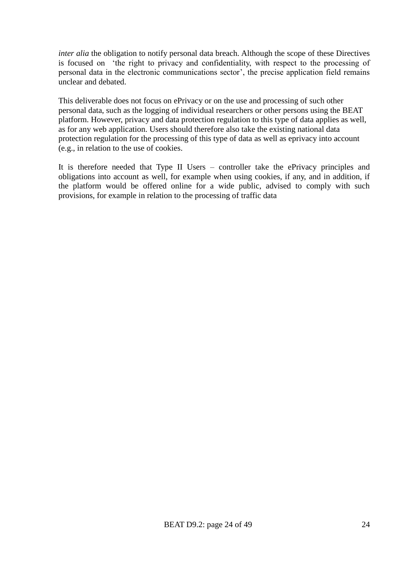*inter alia* the obligation to notify personal data breach. Although the scope of these Directives is focused on 'the right to privacy and confidentiality, with respect to the processing of personal data in the electronic communications sector', the precise application field remains unclear and debated.

This deliverable does not focus on ePrivacy or on the use and processing of such other personal data, such as the logging of individual researchers or other persons using the BEAT platform. However, privacy and data protection regulation to this type of data applies as well, as for any web application. Users should therefore also take the existing national data protection regulation for the processing of this type of data as well as eprivacy into account (e.g., in relation to the use of cookies.

It is therefore needed that Type II Users – controller take the ePrivacy principles and obligations into account as well, for example when using cookies, if any, and in addition, if the platform would be offered online for a wide public, advised to comply with such provisions, for example in relation to the processing of traffic data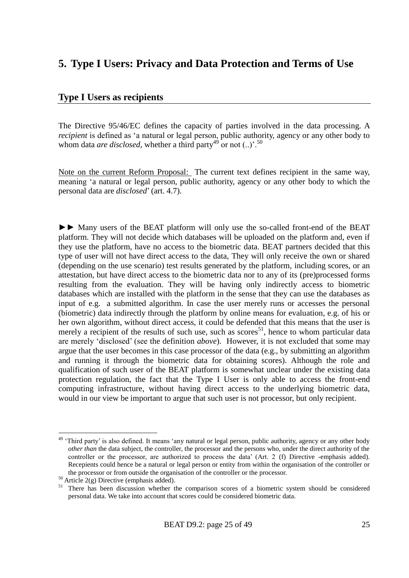### **5. Type I Users: Privacy and Data Protection and Terms of Use**

#### **Type I Users as recipients**

The Directive 95/46/EC defines the capacity of parties involved in the data processing. A *recipient* is defined as 'a natural or legal person, public authority, agency or any other body to whom data *are disclosed*, whether a third party<sup>49</sup> or not  $(.)$ <sup>50</sup>.

Note on the current Reform Proposal: The current text defines recipient in the same way, meaning 'a natural or legal person, public authority, agency or any other body to which the personal data are *disclosed*' (art. 4.7).

►► Many users of the BEAT platform will only use the so-called front-end of the BEAT platform. They will not decide which databases will be uploaded on the platform and, even if they use the platform, have no access to the biometric data. BEAT partners decided that this type of user will not have direct access to the data, They will only receive the own or shared (depending on the use scenario) test results generated by the platform, including scores, or an attestation, but have direct access to the biometric data nor to any of its (pre)processed forms resulting from the evaluation. They will be having only indirectly access to biometric databases which are installed with the platform in the sense that they can use the databases as input of e.g. a submitted algorithm. In case the user merely runs or accesses the personal (biometric) data indirectly through the platform by online means for evaluation, e.g. of his or her own algorithm, without direct access, it could be defended that this means that the user is merely a recipient of the results of such use, such as scores<sup>51</sup>, hence to whom particular data are merely 'disclosed' (see the definition *above*). However, it is not excluded that some may argue that the user becomes in this case processor of the data (e.g., by submitting an algorithm and running it through the biometric data for obtaining scores). Although the role and qualification of such user of the BEAT platform is somewhat unclear under the existing data protection regulation, the fact that the Type I User is only able to access the front-end computing infrastructure, without having direct access to the underlying biometric data, would in our view be important to argue that such user is not processor, but only recipient.

<sup>&</sup>lt;sup>49</sup> 'Third party' is also defined. It means 'any natural or legal person, public authority, agency or any other body *other than* the data subject, the controller, the processor and the persons who, under the direct authority of the controller or the processor, are authorized to process the data' (Art. 2 (f) Directive -emphasis added). Recepients could hence be a natural or legal person or entity from within the organisation of the controller or the processor or from outside the organisation of the controller or the processor.

<sup>50</sup> Article 2(g) Directive (emphasis added).

<sup>&</sup>lt;sup>51</sup> There has been discussion whether the comparison scores of a biometric system should be considered personal data. We take into account that scores could be considered biometric data.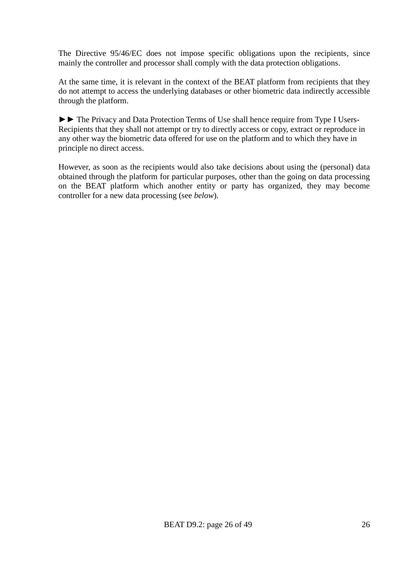The Directive 95/46/EC does not impose specific obligations upon the recipients, since mainly the controller and processor shall comply with the data protection obligations.

At the same time, it is relevant in the context of the BEAT platform from recipients that they do not attempt to access the underlying databases or other biometric data indirectly accessible through the platform.

►► The Privacy and Data Protection Terms of Use shall hence require from Type I Users-Recipients that they shall not attempt or try to directly access or copy, extract or reproduce in any other way the biometric data offered for use on the platform and to which they have in principle no direct access.

However, as soon as the recipients would also take decisions about using the (personal) data obtained through the platform for particular purposes, other than the going on data processing on the BEAT platform which another entity or party has organized, they may become controller for a new data processing (see *below*).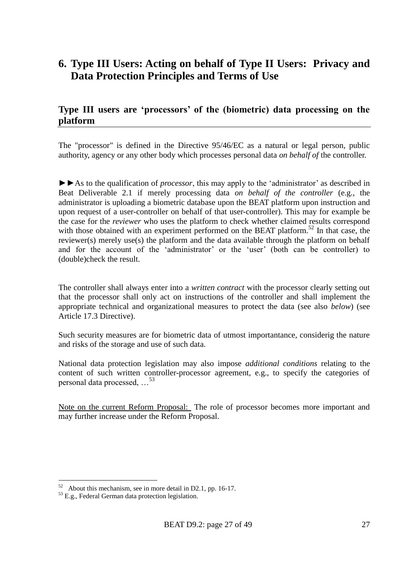# **6. Type III Users: Acting on behalf of Type II Users: Privacy and Data Protection Principles and Terms of Use**

#### **Type III users are 'processors' of the (biometric) data processing on the platform**

The "processor" is defined in the Directive 95/46/EC as a natural or legal person, public authority, agency or any other body which processes personal data *on behalf of* the controller.

►►As to the qualification of *processor*, this may apply to the 'administrator' as described in Beat Deliverable 2.1 if merely processing data *on behalf of the controller* (e.g., the administrator is uploading a biometric database upon the BEAT platform upon instruction and upon request of a user-controller on behalf of that user-controller). This may for example be the case for the *reviewer* who uses the platform to check whether claimed results correspond with those obtained with an experiment performed on the BEAT platform.<sup>52</sup> In that case, the reviewer(s) merely use(s) the platform and the data available through the platform on behalf and for the account of the 'administrator' or the 'user' (both can be controller) to (double)check the result.

The controller shall always enter into a *written contract* with the processor clearly setting out that the processor shall only act on instructions of the controller and shall implement the appropriate technical and organizational measures to protect the data (see also *below*) (see Article 17.3 Directive).

Such security measures are for biometric data of utmost importantance, considerig the nature and risks of the storage and use of such data.

National data protection legislation may also impose *additional conditions* relating to the content of such written controller-processor agreement, e.g., to specify the categories of personal data processed, …<sup>53</sup>

Note on the current Reform Proposal: The role of processor becomes more important and may further increase under the Reform Proposal.

 $52$  About this mechanism, see in more detail in D2.1, pp. 16-17.

<sup>53</sup> E.g., Federal German data protection legislation.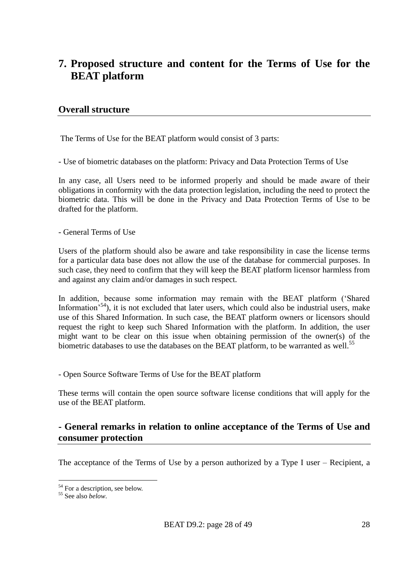# **7. Proposed structure and content for the Terms of Use for the BEAT platform**

#### **Overall structure**

The Terms of Use for the BEAT platform would consist of 3 parts:

- Use of biometric databases on the platform: Privacy and Data Protection Terms of Use

In any case, all Users need to be informed properly and should be made aware of their obligations in conformity with the data protection legislation, including the need to protect the biometric data. This will be done in the Privacy and Data Protection Terms of Use to be drafted for the platform.

- General Terms of Use

Users of the platform should also be aware and take responsibility in case the license terms for a particular data base does not allow the use of the database for commercial purposes. In such case, they need to confirm that they will keep the BEAT platform licensor harmless from and against any claim and/or damages in such respect.

In addition, because some information may remain with the BEAT platform ('Shared Information<sup> $54$ </sup>), it is not excluded that later users, which could also be industrial users, make use of this Shared Information. In such case, the BEAT platform owners or licensors should request the right to keep such Shared Information with the platform. In addition, the user might want to be clear on this issue when obtaining permission of the owner(s) of the biometric databases to use the databases on the BEAT platform, to be warranted as well.<sup>55</sup>

- Open Source Software Terms of Use for the BEAT platform

These terms will contain the open source software license conditions that will apply for the use of the BEAT platform.

#### **- General remarks in relation to online acceptance of the Terms of Use and consumer protection**

The acceptance of the Terms of Use by a person authorized by a Type I user – Recipient, a

<sup>&</sup>lt;sup>54</sup> For a description, see below.

<sup>55</sup> See also *below*.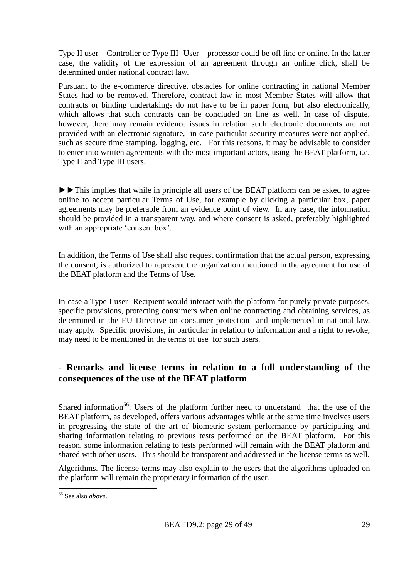Type II user – Controller or Type III- User – processor could be off line or online. In the latter case, the validity of the expression of an agreement through an online click, shall be determined under national contract law.

Pursuant to the e-commerce directive, obstacles for online contracting in national Member States had to be removed. Therefore, contract law in most Member States will allow that contracts or binding undertakings do not have to be in paper form, but also electronically, which allows that such contracts can be concluded on line as well. In case of dispute, however, there may remain evidence issues in relation such electronic documents are not provided with an electronic signature, in case particular security measures were not applied, such as secure time stamping, logging, etc. For this reasons, it may be advisable to consider to enter into written agreements with the most important actors, using the BEAT platform, i.e. Type II and Type III users.

►►This implies that while in principle all users of the BEAT platform can be asked to agree online to accept particular Terms of Use, for example by clicking a particular box, paper agreements may be preferable from an evidence point of view. In any case, the information should be provided in a transparent way, and where consent is asked, preferably highlighted with an appropriate 'consent box'.

In addition, the Terms of Use shall also request confirmation that the actual person, expressing the consent, is authorized to represent the organization mentioned in the agreement for use of the BEAT platform and the Terms of Use.

In case a Type I user- Recipient would interact with the platform for purely private purposes, specific provisions, protecting consumers when online contracting and obtaining services, as determined in the EU Directive on consumer protection and implemented in national law, may apply. Specific provisions, in particular in relation to information and a right to revoke, may need to be mentioned in the terms of use for such users.

#### **- Remarks and license terms in relation to a full understanding of the consequences of the use of the BEAT platform**

Shared information<sup>56</sup>. Users of the platform further need to understand that the use of the BEAT platform, as developed, offers various advantages while at the same time involves users in progressing the state of the art of biometric system performance by participating and sharing information relating to previous tests performed on the BEAT platform. For this reason, some information relating to tests performed will remain with the BEAT platform and shared with other users. This should be transparent and addressed in the license terms as well.

Algorithms. The license terms may also explain to the users that the algorithms uploaded on the platform will remain the proprietary information of the user.

<u>.</u>

<sup>56</sup> See also *above*.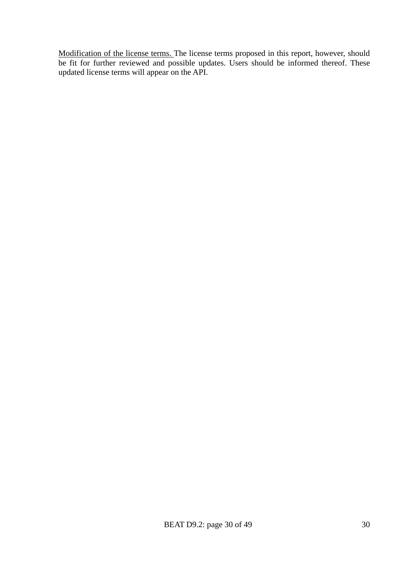Modification of the license terms. The license terms proposed in this report, however, should be fit for further reviewed and possible updates. Users should be informed thereof. These updated license terms will appear on the API.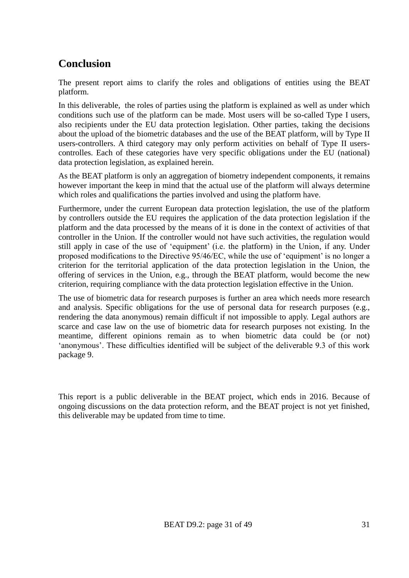# **Conclusion**

The present report aims to clarify the roles and obligations of entities using the BEAT platform.

In this deliverable, the roles of parties using the platform is explained as well as under which conditions such use of the platform can be made. Most users will be so-called Type I users, also recipients under the EU data protection legislation. Other parties, taking the decisions about the upload of the biometric databases and the use of the BEAT platform, will by Type II users-controllers. A third category may only perform activities on behalf of Type II userscontrolles. Each of these categories have very specific obligations under the EU (national) data protection legislation, as explained herein.

As the BEAT platform is only an aggregation of biometry independent components, it remains however important the keep in mind that the actual use of the platform will always determine which roles and qualifications the parties involved and using the platform have.

Furthermore, under the current European data protection legislation, the use of the platform by controllers outside the EU requires the application of the data protection legislation if the platform and the data processed by the means of it is done in the context of activities of that controller in the Union. If the controller would not have such activities, the regulation would still apply in case of the use of 'equipment' (i.e. the platform) in the Union, if any. Under proposed modifications to the Directive 95/46/EC, while the use of 'equipment' is no longer a criterion for the territorial application of the data protection legislation in the Union, the offering of services in the Union, e.g., through the BEAT platform, would become the new criterion, requiring compliance with the data protection legislation effective in the Union.

The use of biometric data for research purposes is further an area which needs more research and analysis. Specific obligations for the use of personal data for research purposes (e.g., rendering the data anonymous) remain difficult if not impossible to apply. Legal authors are scarce and case law on the use of biometric data for research purposes not existing. In the meantime, different opinions remain as to when biometric data could be (or not) 'anonymous'. These difficulties identified will be subject of the deliverable 9.3 of this work package 9.

This report is a public deliverable in the BEAT project, which ends in 2016. Because of ongoing discussions on the data protection reform, and the BEAT project is not yet finished, this deliverable may be updated from time to time.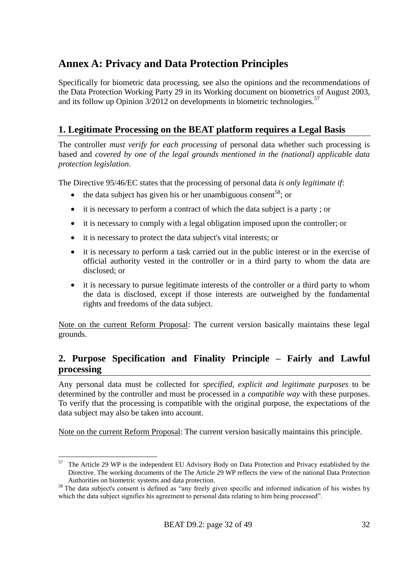# **Annex A: Privacy and Data Protection Principles**

Specifically for biometric data processing, see also the opinions and the recommendations of the Data Protection Working Party 29 in its Working document on biometrics of August 2003, and its follow up Opinion  $3/2012$  on developments in biometric technologies.<sup>57</sup>

### **1. Legitimate Processing on the BEAT platform requires a Legal Basis**

The controller *must verify for each processing* of personal data whether such processing is based and *covered by one of the legal grounds mentioned in the (national) applicable data protection legislation*.

The Directive 95/46/EC states that the processing of personal data *is only legitimate if*:

- the data subject has given his or her unambiguous consent<sup>58</sup>; or
- it is necessary to perform a contract of which the data subject is a party; or
- it is necessary to comply with a legal obligation imposed upon the controller; or
- it is necessary to protect the data subject's vital interests; or
- it is necessary to perform a task carried out in the public interest or in the exercise of official authority vested in the controller or in a third party to whom the data are disclosed; or
- it is necessary to pursue legitimate interests of the controller or a third party to whom the data is disclosed, except if those interests are outweighed by the fundamental rights and freedoms of the data subject.

Note on the current Reform Proposal: The current version basically maintains these legal grounds.

### **2. Purpose Specification and Finality Principle – Fairly and Lawful processing**

Any personal data must be collected for *specified, explicit and legitimate purposes* to be determined by the controller and must be processed in a *compatible way* with these purposes. To verify that the processing is compatible with the original purpose, the expectations of the data subject may also be taken into account.

Note on the current Reform Proposal: The current version basically maintains this principle.

 $57\,$ <sup>57</sup> The Article 29 WP is the independent EU Advisory Body on Data Protection and Privacy established by the Directive. The working documents of the The Article 29 WP reflects the view of the national Data Protection Authorities on biometric systems and data protection.

<sup>&</sup>lt;sup>58</sup> The data subject's consent is defined as "any freely given specific and informed indication of his wishes by which the data subject signifies his agreement to personal data relating to him being processed".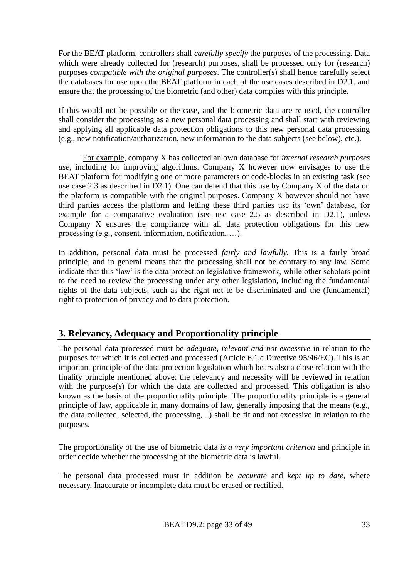For the BEAT platform, controllers shall *carefully specify* the purposes of the processing. Data which were already collected for (research) purposes, shall be processed only for (research) purposes *compatible with the original purposes*. The controller(s) shall hence carefully select the databases for use upon the BEAT platform in each of the use cases described in D2.1. and ensure that the processing of the biometric (and other) data complies with this principle.

If this would not be possible or the case, and the biometric data are re-used, the controller shall consider the processing as a new personal data processing and shall start with reviewing and applying all applicable data protection obligations to this new personal data processing (e.g., new notification/authorization, new information to the data subjects (see below), etc.).

For example, company X has collected an own database for *internal research purposes use*, including for improving algorithms. Company X however now envisages to use the BEAT platform for modifying one or more parameters or code-blocks in an existing task (see use case 2.3 as described in D2.1). One can defend that this use by Company X of the data on the platform is compatible with the original purposes. Company X however should not have third parties access the platform and letting these third parties use its 'own' database, for example for a comparative evaluation (see use case 2.5 as described in D2.1), unless Company X ensures the compliance with all data protection obligations for this new processing (e.g., consent, information, notification, …).

In addition, personal data must be processed *fairly and lawfully.* This is a fairly broad principle, and in general means that the processing shall not be contrary to any law. Some indicate that this 'law' is the data protection legislative framework, while other scholars point to the need to review the processing under any other legislation, including the fundamental rights of the data subjects, such as the right not to be discriminated and the (fundamental) right to protection of privacy and to data protection.

#### **3. Relevancy, Adequacy and Proportionality principle**

The personal data processed must be *adequate, relevant and not excessive* in relation to the purposes for which it is collected and processed (Article 6.1,c Directive 95/46/EC). This is an important principle of the data protection legislation which bears also a close relation with the finality principle mentioned above: the relevancy and necessity will be reviewed in relation with the purpose(s) for which the data are collected and processed. This obligation is also known as the basis of the proportionality principle. The proportionality principle is a general principle of law, applicable in many domains of law, generally imposing that the means (e.g., the data collected, selected, the processing, ..) shall be fit and not excessive in relation to the purposes.

The proportionality of the use of biometric data *is a very important criterion* and principle in order decide whether the processing of the biometric data is lawful.

The personal data processed must in addition be *accurate* and *kept up to date,* where necessary. Inaccurate or incomplete data must be erased or rectified.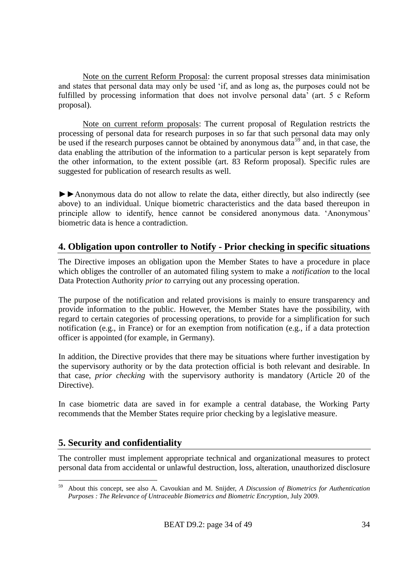Note on the current Reform Proposal: the current proposal stresses data minimisation and states that personal data may only be used 'if, and as long as, the purposes could not be fulfilled by processing information that does not involve personal data' (art. 5 c Reform proposal).

Note on current reform proposals: The current proposal of Regulation restricts the processing of personal data for research purposes in so far that such personal data may only be used if the research purposes cannot be obtained by anonymous data<sup>59</sup> and, in that case, the data enabling the attribution of the information to a particular person is kept separately from the other information, to the extent possible (art. 83 Reform proposal). Specific rules are suggested for publication of research results as well.

►►Anonymous data do not allow to relate the data, either directly, but also indirectly (see above) to an individual. Unique biometric characteristics and the data based thereupon in principle allow to identify, hence cannot be considered anonymous data. 'Anonymous' biometric data is hence a contradiction.

#### **4. Obligation upon controller to Notify - Prior checking in specific situations**

The Directive imposes an obligation upon the Member States to have a procedure in place which obliges the controller of an automated filing system to make a *notification* to the local Data Protection Authority *prior to* carrying out any processing operation.

The purpose of the notification and related provisions is mainly to ensure transparency and provide information to the public. However, the Member States have the possibility, with regard to certain categories of processing operations, to provide for a simplification for such notification (e.g., in France) or for an exemption from notification (e.g., if a data protection officer is appointed (for example, in Germany).

In addition, the Directive provides that there may be situations where further investigation by the supervisory authority or by the data protection official is both relevant and desirable. In that case, *prior checking* with the supervisory authority is mandatory (Article 20 of the Directive).

In case biometric data are saved in for example a central database, the Working Party recommends that the Member States require prior checking by a legislative measure.

#### **5. Security and confidentiality**

1

The controller must implement appropriate technical and organizational measures to protect personal data from accidental or unlawful destruction, loss, alteration, unauthorized disclosure

<sup>59</sup> About this concept, see also A. Cavoukian and M. Snijder, *A Discussion of Biometrics for Authentication Purposes : The Relevance of Untraceable Biometrics and Biometric Encryption*, July 2009.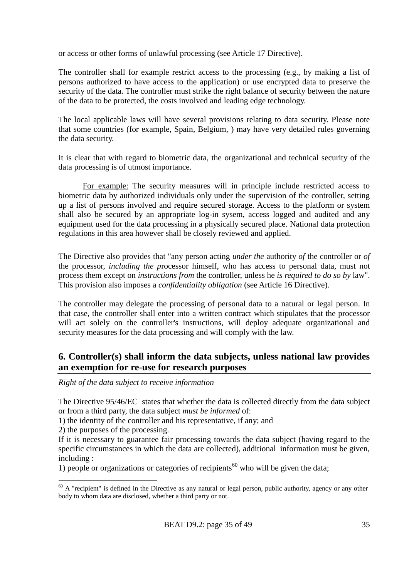or access or other forms of unlawful processing (see Article 17 Directive).

The controller shall for example restrict access to the processing (e.g., by making a list of persons authorized to have access to the application) or use encrypted data to preserve the security of the data. The controller must strike the right balance of security between the nature of the data to be protected, the costs involved and leading edge technology.

The local applicable laws will have several provisions relating to data security. Please note that some countries (for example, Spain, Belgium, ) may have very detailed rules governing the data security.

It is clear that with regard to biometric data, the organizational and technical security of the data processing is of utmost importance.

For example: The security measures will in principle include restricted access to biometric data by authorized individuals only under the supervision of the controller, setting up a list of persons involved and require secured storage. Access to the platform or system shall also be secured by an appropriate log-in sysem, access logged and audited and any equipment used for the data processing in a physically secured place. National data protection regulations in this area however shall be closely reviewed and applied.

The Directive also provides that "any person acting *under the* authority *of* the controller or *of*  the processor, *including the p*rocessor himself, who has access to personal data, must not process them except on *instructions from* the controller, unless he *is required to do so by* law". This provision also imposes a *confidentiality obligation* (see Article 16 Directive).

The controller may delegate the processing of personal data to a natural or legal person. In that case, the controller shall enter into a written contract which stipulates that the processor will act solely on the controller's instructions, will deploy adequate organizational and security measures for the data processing and will comply with the law.

#### **6. Controller(s) shall inform the data subjects, unless national law provides an exemption for re-use for research purposes**

*Right of the data subject to receive information*

The Directive 95/46/EC states that whether the data is collected directly from the data subject or from a third party, the data subject *must be informed* of:

1) the identity of the controller and his representative, if any; and

2) the purposes of the processing.

1

If it is necessary to guarantee fair processing towards the data subject (having regard to the specific circumstances in which the data are collected), additional information must be given, including :

1) people or organizations or categories of recipients<sup>60</sup> who will be given the data;

 $60$  A "recipient" is defined in the Directive as any natural or legal person, public authority, agency or any other body to whom data are disclosed, whether a third party or not.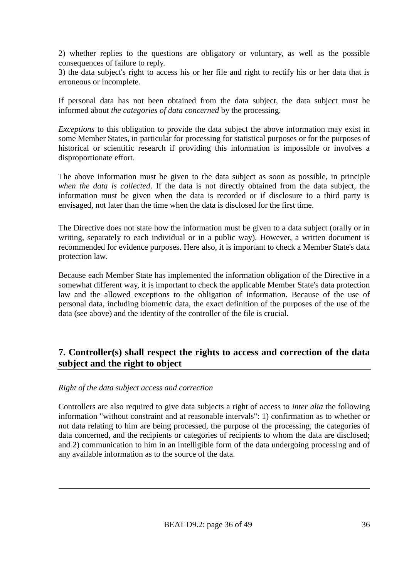2) whether replies to the questions are obligatory or voluntary, as well as the possible consequences of failure to reply.

3) the data subject's right to access his or her file and right to rectify his or her data that is erroneous or incomplete.

If personal data has not been obtained from the data subject, the data subject must be informed about *the categories of data concerned* by the processing.

*Exceptions* to this obligation to provide the data subject the above information may exist in some Member States, in particular for processing for statistical purposes or for the purposes of historical or scientific research if providing this information is impossible or involves a disproportionate effort.

The above information must be given to the data subject as soon as possible, in principle *when the data is collected*. If the data is not directly obtained from the data subject, the information must be given when the data is recorded or if disclosure to a third party is envisaged, not later than the time when the data is disclosed for the first time.

The Directive does not state how the information must be given to a data subject (orally or in writing, separately to each individual or in a public way). However, a written document is recommended for evidence purposes. Here also, it is important to check a Member State's data protection law.

Because each Member State has implemented the information obligation of the Directive in a somewhat different way, it is important to check the applicable Member State's data protection law and the allowed exceptions to the obligation of information. Because of the use of personal data, including biometric data, the exact definition of the purposes of the use of the data (see above) and the identity of the controller of the file is crucial.

#### **7. Controller(s) shall respect the rights to access and correction of the data subject and the right to object**

#### *Right of the data subject access and correction*

<u>.</u>

Controllers are also required to give data subjects a right of access to *inter alia* the following information "without constraint and at reasonable intervals": 1) confirmation as to whether or not data relating to him are being processed, the purpose of the processing, the categories of data concerned, and the recipients or categories of recipients to whom the data are disclosed; and 2) communication to him in an intelligible form of the data undergoing processing and of any available information as to the source of the data.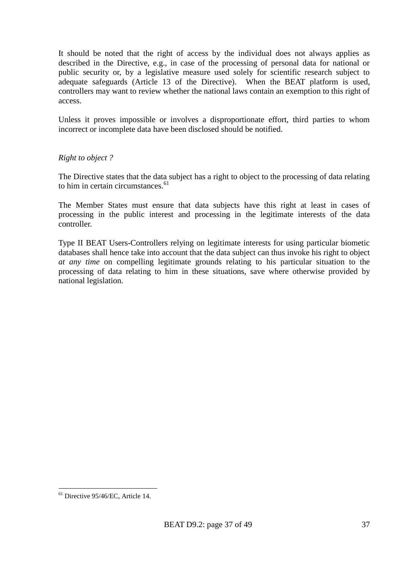It should be noted that the right of access by the individual does not always applies as described in the Directive, e.g., in case of the processing of personal data for national or public security or, by a legislative measure used solely for scientific research subject to adequate safeguards (Article 13 of the Directive). When the BEAT platform is used, controllers may want to review whether the national laws contain an exemption to this right of access.

Unless it proves impossible or involves a disproportionate effort, third parties to whom incorrect or incomplete data have been disclosed should be notified.

#### *Right to object ?*

The Directive states that the data subject has a right to object to the processing of data relating to him in certain circumstances.<sup>61</sup>

The Member States must ensure that data subjects have this right at least in cases of processing in the public interest and processing in the legitimate interests of the data controller.

Type II BEAT Users-Controllers relying on legitimate interests for using particular biometic databases shall hence take into account that the data subject can thus invoke his right to object *at any time* on compelling legitimate grounds relating to his particular situation to the processing of data relating to him in these situations, save where otherwise provided by national legislation.

<u>.</u>

 $<sup>61</sup>$  Directive 95/46/EC, Article 14.</sup>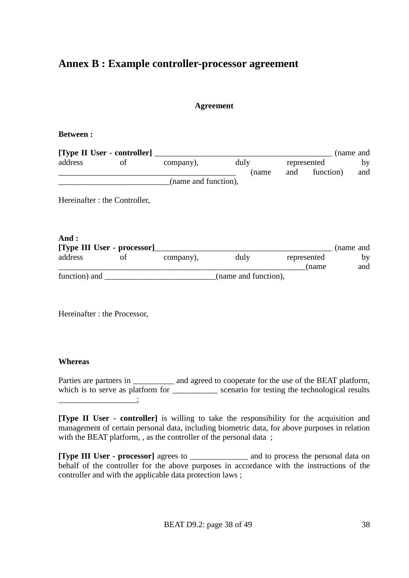### **Annex B : Example controller-processor agreement**

#### **Agreement**

#### **Between :**

|         | [Type II User - controller] |                      |               |     |                          | (name and |
|---------|-----------------------------|----------------------|---------------|-----|--------------------------|-----------|
| address |                             | company),            | duly<br>(name | and | represented<br>function) | by<br>and |
|         |                             | (name and function), |               |     |                          |           |

Hereinafter : the Controller,

| And:<br>[Type III User - processor]<br>(name and |    |           |                      |                      |           |
|--------------------------------------------------|----|-----------|----------------------|----------------------|-----------|
| address                                          | ОT | company), | duly                 | represented<br>(name | bv<br>and |
| function) and                                    |    |           | (name and function), |                      |           |

Hereinafter : the Processor,

#### **Whereas**

Parties are partners in \_\_\_\_\_\_\_\_\_\_ and agreed to cooperate for the use of the BEAT platform, which is to serve as platform for \_\_\_\_\_\_\_\_\_\_\_\_\_ scenario for testing the technological results  $\overline{\phantom{a}}$ 

**[Type II User - controller]** is willing to take the responsibility for the acquisition and management of certain personal data, including biometric data, for above purposes in relation with the BEAT platform, , as the controller of the personal data;

**[Type III User - processor]** agrees to \_\_\_\_\_\_\_\_\_\_\_\_\_\_ and to process the personal data on behalf of the controller for the above purposes in accordance with the instructions of the controller and with the applicable data protection laws ;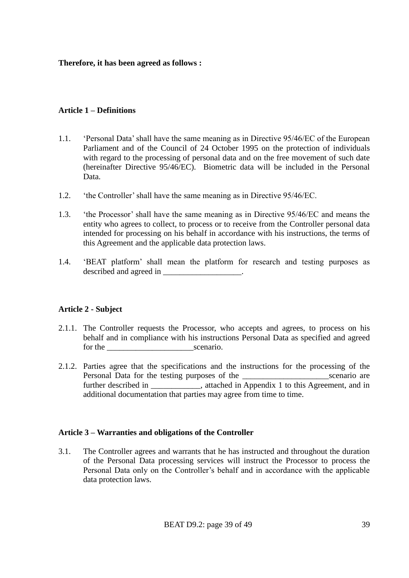**Therefore, it has been agreed as follows :**

#### **Article 1 – Definitions**

- 1.1. 'Personal Data' shall have the same meaning as in Directive 95/46/EC of the European Parliament and of the Council of 24 October 1995 on the protection of individuals with regard to the processing of personal data and on the free movement of such date (hereinafter Directive 95/46/EC). Biometric data will be included in the Personal Data.
- 1.2. 'the Controller' shall have the same meaning as in Directive 95/46/EC.
- 1.3. 'the Processor' shall have the same meaning as in Directive 95/46/EC and means the entity who agrees to collect, to process or to receive from the Controller personal data intended for processing on his behalf in accordance with his instructions, the terms of this Agreement and the applicable data protection laws.
- 1.4. 'BEAT platform' shall mean the platform for research and testing purposes as described and agreed in \_\_\_\_\_\_\_\_\_\_\_\_\_\_\_\_\_\_\_.

#### **Article 2 - Subject**

- 2.1.1. The Controller requests the Processor, who accepts and agrees, to process on his behalf and in compliance with his instructions Personal Data as specified and agreed for the scenario.
- 2.1.2. Parties agree that the specifications and the instructions for the processing of the Personal Data for the testing purposes of the \_\_\_\_\_\_\_\_\_\_\_\_\_\_\_\_\_\_\_\_\_scenario are further described in \_\_\_\_\_\_\_\_\_\_, attached in Appendix 1 to this Agreement, and in additional documentation that parties may agree from time to time.

#### **Article 3 – Warranties and obligations of the Controller**

3.1. The Controller agrees and warrants that he has instructed and throughout the duration of the Personal Data processing services will instruct the Processor to process the Personal Data only on the Controller's behalf and in accordance with the applicable data protection laws.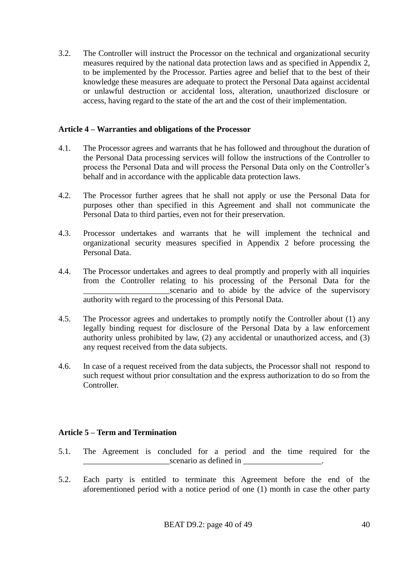3.2. The Controller will instruct the Processor on the technical and organizational security measures required by the national data protection laws and as specified in Appendix 2, to be implemented by the Processor. Parties agree and belief that to the best of their knowledge these measures are adequate to protect the Personal Data against accidental or unlawful destruction or accidental loss, alteration, unauthorized disclosure or access, having regard to the state of the art and the cost of their implementation.

#### **Article 4 – Warranties and obligations of the Processor**

- 4.1. The Processor agrees and warrants that he has followed and throughout the duration of the Personal Data processing services will follow the instructions of the Controller to process the Personal Data and will process the Personal Data only on the Controller's behalf and in accordance with the applicable data protection laws.
- 4.2. The Processor further agrees that he shall not apply or use the Personal Data for purposes other than specified in this Agreement and shall not communicate the Personal Data to third parties, even not for their preservation.
- 4.3. Processor undertakes and warrants that he will implement the technical and organizational security measures specified in Appendix 2 before processing the Personal Data.
- 4.4. The Processor undertakes and agrees to deal promptly and properly with all inquiries from the Controller relating to his processing of the Personal Data for the scenario and to abide by the advice of the supervisory authority with regard to the processing of this Personal Data.
- 4.5. The Processor agrees and undertakes to promptly notify the Controller about (1) any legally binding request for disclosure of the Personal Data by a law enforcement authority unless prohibited by law, (2) any accidental or unauthorized access, and (3) any request received from the data subjects.
- 4.6. In case of a request received from the data subjects, the Processor shall not respond to such request without prior consultation and the express authorization to do so from the Controller.

#### **Article 5 – Term and Termination**

- 5.1. The Agreement is concluded for a period and the time required for the scenario as defined in
- 5.2. Each party is entitled to terminate this Agreement before the end of the aforementioned period with a notice period of one (1) month in case the other party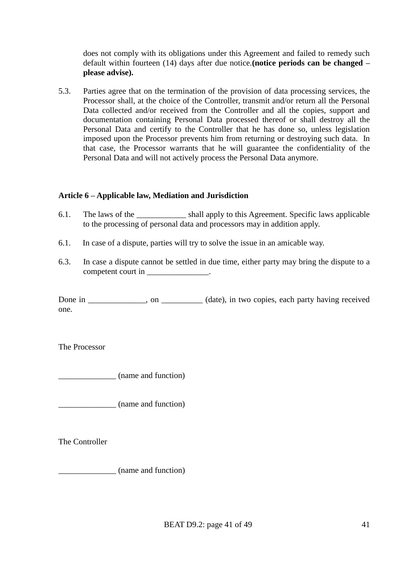does not comply with its obligations under this Agreement and failed to remedy such default within fourteen (14) days after due notice.**(notice periods can be changed – please advise).**

5.3. Parties agree that on the termination of the provision of data processing services, the Processor shall, at the choice of the Controller, transmit and/or return all the Personal Data collected and/or received from the Controller and all the copies, support and documentation containing Personal Data processed thereof or shall destroy all the Personal Data and certify to the Controller that he has done so, unless legislation imposed upon the Processor prevents him from returning or destroying such data. In that case, the Processor warrants that he will guarantee the confidentiality of the Personal Data and will not actively process the Personal Data anymore.

#### **Article 6 – Applicable law, Mediation and Jurisdiction**

- 6.1. The laws of the \_\_\_\_\_\_\_\_\_\_\_\_ shall apply to this Agreement. Specific laws applicable to the processing of personal data and processors may in addition apply.
- 6.1. In case of a dispute, parties will try to solve the issue in an amicable way.
- 6.3. In case a dispute cannot be settled in due time, either party may bring the dispute to a competent court in  $\blacksquare$

Done in \_\_\_\_\_\_\_\_\_\_, on \_\_\_\_\_\_\_\_ (date), in two copies, each party having received one.

The Processor

\_\_\_\_\_\_\_\_\_\_\_\_\_\_ (name and function)

\_\_\_\_\_\_\_\_\_\_\_\_\_\_ (name and function)

The Controller

\_\_\_\_\_\_\_\_\_\_\_\_\_\_ (name and function)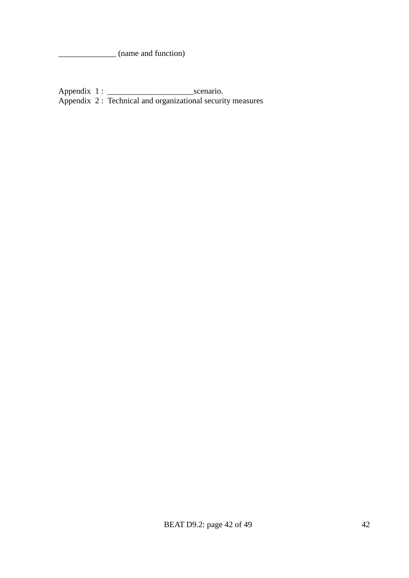\_\_\_\_\_\_\_\_\_\_\_\_\_\_ (name and function)

Appendix 1 : \_\_\_\_\_\_\_\_\_\_\_\_\_\_\_\_\_\_\_\_\_scenario. Appendix 2 : Technical and organizational security measures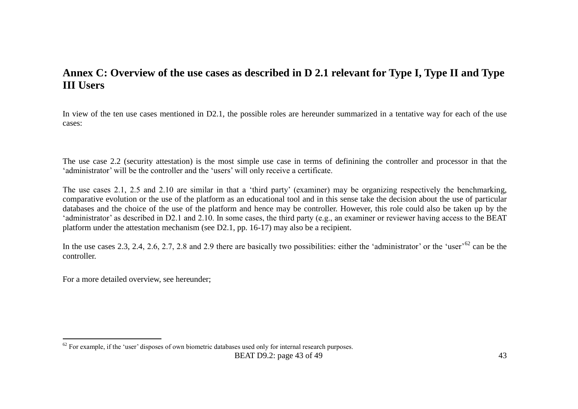## **Annex C: Overview of the use cases as described in D 2.1 relevant for Type I, Type II and Type III Users**

In view of the ten use cases mentioned in D2.1, the possible roles are hereunder summarized in a tentative way for each of the use cases:

The use case 2.2 (security attestation) is the most simple use case in terms of definining the controller and processor in that the 'administrator' will be the controller and the 'users' will only receive a certificate.

The use cases 2.1, 2.5 and 2.10 are similar in that a 'third party' (examiner) may be organizing respectively the benchmarking, comparative evolution or the use of the platform as an educational tool and in this sense take the decision about the use of particular databases and the choice of the use of the platform and hence may be controller. However, this role could also be taken up by the 'administrator' as described in D2.1 and 2.10. In some cases, the third party (e.g., an examiner or reviewer having access to the BEAT platform under the attestation mechanism (see D2.1, pp. 16-17) may also be a recipient.

In the use cases 2.3, 2.4, 2.6, 2.7, 2.8 and 2.9 there are basically two possibilities: either the 'administrator' or the 'user'<sup>62</sup> can be the controller.

For a more detailed overview, see hereunder;

 $\overline{a}$ 

 $62$  For example, if the 'user' disposes of own biometric databases used only for internal research purposes.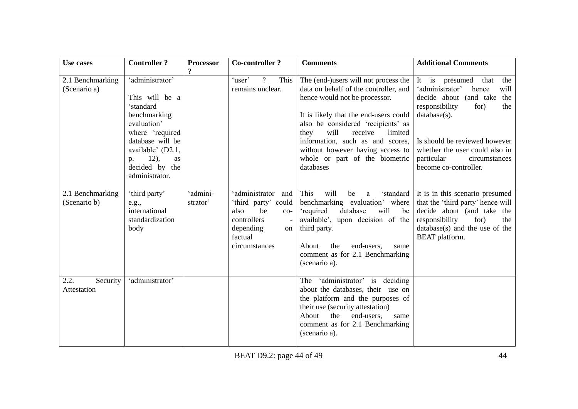| <b>Use cases</b>                 | <b>Controller?</b>                                                                                                                                                                                | <b>Processor</b><br>$\boldsymbol{\mathcal{P}}$ | <b>Co-controller?</b>                                                                                                             | <b>Comments</b>                                                                                                                                                                                                                                                                                                                                            | <b>Additional Comments</b>                                                                                                                                                                                                                                                        |
|----------------------------------|---------------------------------------------------------------------------------------------------------------------------------------------------------------------------------------------------|------------------------------------------------|-----------------------------------------------------------------------------------------------------------------------------------|------------------------------------------------------------------------------------------------------------------------------------------------------------------------------------------------------------------------------------------------------------------------------------------------------------------------------------------------------------|-----------------------------------------------------------------------------------------------------------------------------------------------------------------------------------------------------------------------------------------------------------------------------------|
| 2.1 Benchmarking<br>(Scenario a) | 'administrator'<br>This will be a<br>'standard<br>benchmarking<br>evaluation'<br>where 'required<br>database will be<br>available' (D2.1,<br>12),<br>p.<br>as<br>decided by the<br>administrator. |                                                | 'user'<br>$\gamma$<br>This<br>remains unclear.                                                                                    | The (end-)users will not process the<br>data on behalf of the controller, and<br>hence would not be processor.<br>It is likely that the end-users could<br>also be considered 'recipients' as<br>will<br>receive<br>limited<br>they<br>information, such as and scores,<br>without however having access to<br>whole or part of the biometric<br>databases | It is presumed<br>the<br>that<br>will<br>'administrator'<br>hence<br>decide about (and take<br>the<br>responsibility<br>for)<br>the<br>$database(s)$ .<br>Is should be reviewed however<br>whether the user could also in<br>particular<br>circumstances<br>become co-controller. |
| 2.1 Benchmarking<br>(Scenario b) | 'third party'<br>e.g.,<br>international<br>standardization<br>body                                                                                                                                | 'admini-<br>strator'                           | 'administrator<br>and<br>'third party' could<br>be<br>also<br>$CO-$<br>controllers<br>depending<br>on<br>factual<br>circumstances | will<br>This<br>'standard<br>be<br>a<br>benchmarking evaluation' where<br>database<br>will<br>'required<br>be<br>available', upon decision of the<br>third party.<br>About<br>the<br>end-users,<br>same<br>comment as for 2.1 Benchmarking<br>(scenario a).                                                                                                | It is in this scenario presumed<br>that the 'third party' hence will<br>decide about (and take the<br>responsibility<br>for)<br>the<br>database(s) and the use of the<br>BEAT platform.                                                                                           |
| 2.2.<br>Security<br>Attestation  | 'administrator'                                                                                                                                                                                   |                                                |                                                                                                                                   | 'administrator' is deciding<br>The<br>about the databases, their use on<br>the platform and the purposes of<br>their use (security attestation)<br>the<br>end-users.<br>About<br>same<br>comment as for 2.1 Benchmarking<br>(scenario a).                                                                                                                  |                                                                                                                                                                                                                                                                                   |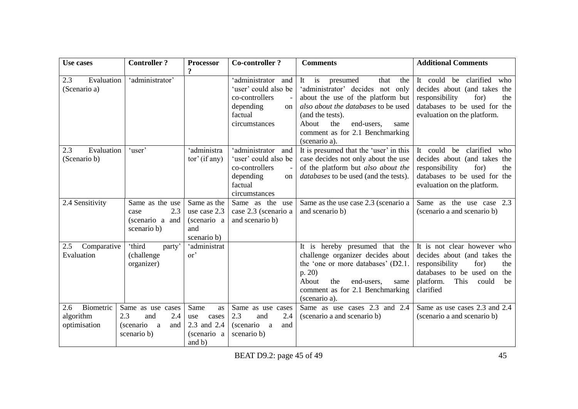| Use cases                                     | <b>Controller?</b>                                                                        | <b>Processor</b><br>$\boldsymbol{v}$                               | <b>Co-controller?</b>                                                                                          | <b>Comments</b>                                                                                                                                                                                                                                                | <b>Additional Comments</b>                                                                                                                                                   |
|-----------------------------------------------|-------------------------------------------------------------------------------------------|--------------------------------------------------------------------|----------------------------------------------------------------------------------------------------------------|----------------------------------------------------------------------------------------------------------------------------------------------------------------------------------------------------------------------------------------------------------------|------------------------------------------------------------------------------------------------------------------------------------------------------------------------------|
| 2.3<br>Evaluation<br>(Scenario a)             | 'administrator'                                                                           |                                                                    | 'administrator<br>and<br>'user' could also be<br>co-controllers<br>depending<br>on<br>factual<br>circumstances | It is<br>presumed<br>that<br>the<br>'administrator' decides not only<br>about the use of the platform but<br>also about the databases to be used<br>(and the tests).<br>About<br>the<br>end-users.<br>same<br>comment as for 2.1 Benchmarking<br>(scenario a). | It could be clarified<br>who<br>decides about (and takes the<br>responsibility<br>for)<br>the<br>databases to be used for the<br>evaluation on the platform.                 |
| 2.3<br>Evaluation<br>(Scenario b)             | 'user'                                                                                    | 'administra<br>$tor'$ (if any)                                     | 'administrator<br>and<br>'user' could also be<br>co-controllers<br>depending<br>on<br>factual<br>circumstances | It is presumed that the 'user' in this<br>case decides not only about the use<br>of the platform but also about the<br><i>databases</i> to be used (and the tests).                                                                                            | It could be clarified<br>who<br>decides about (and takes the<br>responsibility<br>for)<br>the<br>databases to be used for the<br>evaluation on the platform.                 |
| 2.4 Sensitivity                               | Same as the use<br>2.3<br>case<br>(scenario a and<br>scenario b)                          | Same as the<br>use case 2.3<br>(scenario a<br>and<br>scenario b)   | Same as the use<br>case 2.3 (scenario a<br>and scenario b)                                                     | Same as the use case 2.3 (scenario a<br>and scenario b)                                                                                                                                                                                                        | Same as the use case 2.3<br>(scenario a and scenario b)                                                                                                                      |
| 2.5<br>Comparative<br>Evaluation              | 'third<br>party'<br>(challenge)<br>organizer)                                             | 'administrat<br>or'                                                |                                                                                                                | It is hereby presumed that the<br>challenge organizer decides about<br>the 'one or more databases' (D2.1.<br>p. 20)<br>About<br>the<br>end-users,<br>same<br>comment as for 2.1 Benchmarking<br>(scenario a).                                                  | It is not clear however who<br>decides about (and takes the<br>responsibility<br>for)<br>the<br>databases to be used on the<br>platform.<br>This<br>could<br>be<br>clarified |
| Biometric<br>2.6<br>algorithm<br>optimisation | Same as use cases<br>2.3<br>2.4<br>and<br>(scenario<br><sub>a</sub><br>and<br>scenario b) | Same<br>as<br>use<br>cases<br>2.3 and 2.4<br>(scenario a<br>and b) | Same as use cases<br>2.3<br>2.4<br>and<br>(scenario a<br>and<br>scenario b)                                    | Same as use cases 2.3 and 2.4<br>(scenario a and scenario b)                                                                                                                                                                                                   | Same as use cases 2.3 and 2.4<br>(scenario a and scenario b)                                                                                                                 |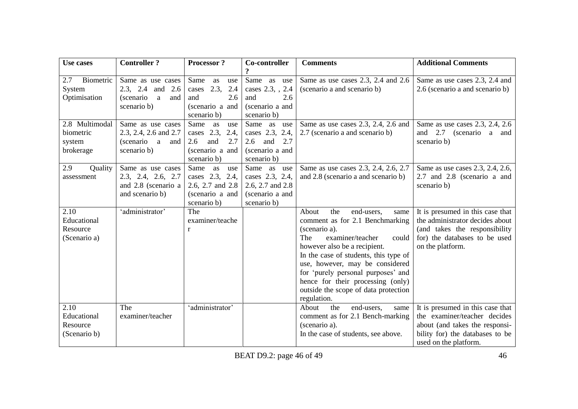| Use cases                                          | <b>Controller?</b>                                                                   | <b>Processor?</b>                                                                                 | Co-controller<br>$\overline{\mathbf{?}}$                                                    | <b>Comments</b>                                                                                                                                                                                                                                                                                                                                                          | <b>Additional Comments</b>                                                                                                                                     |
|----------------------------------------------------|--------------------------------------------------------------------------------------|---------------------------------------------------------------------------------------------------|---------------------------------------------------------------------------------------------|--------------------------------------------------------------------------------------------------------------------------------------------------------------------------------------------------------------------------------------------------------------------------------------------------------------------------------------------------------------------------|----------------------------------------------------------------------------------------------------------------------------------------------------------------|
| Biometric<br>2.7<br>System<br>Optimisation         | Same as use cases<br>2.6<br>2.3, 2.4<br>and<br>(scenario)<br>a<br>and<br>scenario b) | Same<br>as<br>use<br>cases $2.3$ ,<br>2.4<br>2.6<br>and<br>(scenario a and<br>scenario b)         | Same as<br>use<br>cases 2.3, , 2.4<br>2.6<br>and<br>(scenario a and<br>scenario b)          | Same as use cases $2.3$ , $2.4$ and $2.6$<br>(scenario a and scenario b)                                                                                                                                                                                                                                                                                                 | Same as use cases 2.3, 2.4 and<br>2.6 (scenario a and scenario b)                                                                                              |
| 2.8 Multimodal<br>biometric<br>system<br>brokerage | Same as use cases<br>2.3, 2.4, 2.6 and 2.7<br>(scenario a<br>and<br>scenario b)      | Same<br>as<br>use<br>2.3,<br>2.4,<br>cases<br>and<br>2.7<br>2.6<br>(scenario a and<br>scenario b) | Same as<br>use<br>cases 2.3,<br>2.4,<br>2.7<br>2.6<br>and<br>(scenario a and<br>scenario b) | Same as use cases $2.3$ , $2.4$ , $2.6$ and<br>2.7 (scenario a and scenario b)                                                                                                                                                                                                                                                                                           | Same as use cases 2.3, 2.4, 2.6<br>and 2.7 (scenario a<br>and<br>scenario b)                                                                                   |
| 2.9<br>Quality<br>assessment                       | Same as use cases<br>2.3, 2.4, 2.6, 2.7<br>and 2.8 (scenario a<br>and scenario b)    | Same<br>as<br>use<br>cases 2.3, 2.4,<br>2.6, 2.7 and 2.8<br>(scenario a and<br>scenario b)        | Same as<br>use<br>cases 2.3, 2.4,<br>2.6, 2.7 and 2.8<br>(scenario a and<br>scenario b)     | Same as use cases 2.3, 2.4, 2.6, 2.7<br>and 2.8 (scenario a and scenario b)                                                                                                                                                                                                                                                                                              | Same as use cases 2.3, 2.4, 2.6,<br>2.7 and 2.8 (scenario a and<br>scenario b)                                                                                 |
| 2.10<br>Educational<br>Resource<br>(Scenario a)    | 'administrator'                                                                      | The<br>examiner/teache<br>$\mathbf{r}$                                                            |                                                                                             | end-users,<br>the<br>About<br>same<br>comment as for 2.1 Benchmarking<br>(scenario a).<br>The<br>examiner/teacher<br>could<br>however also be a recipient.<br>In the case of students, this type of<br>use, however, may be considered<br>for 'purely personal purposes' and<br>hence for their processing (only)<br>outside the scope of data protection<br>regulation. | It is presumed in this case that<br>the administrator decides about<br>(and takes the responsibility<br>for) the databases to be used<br>on the platform.      |
| 2.10<br>Educational<br>Resource<br>(Scenario b)    | The<br>examiner/teacher                                                              | 'administrator'                                                                                   |                                                                                             | the<br>end-users,<br>About<br>same<br>comment as for 2.1 Bench-marking<br>(scenario a).<br>In the case of students, see above.                                                                                                                                                                                                                                           | It is presumed in this case that<br>the examiner/teacher decides<br>about (and takes the responsi-<br>bility for) the databases to be<br>used on the platform. |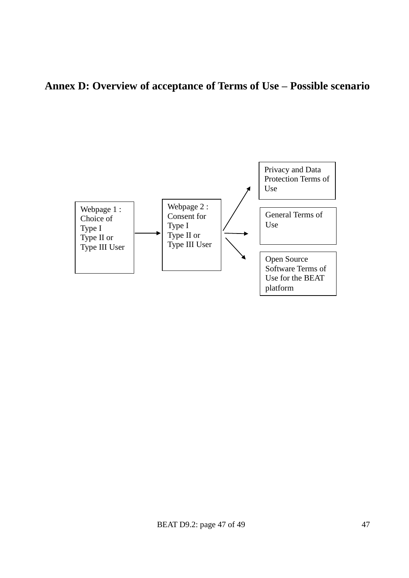**Annex D: Overview of acceptance of Terms of Use – Possible scenario** 

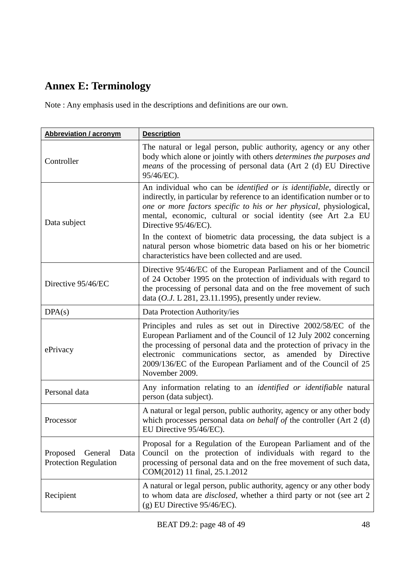# **Annex E: Terminology**

Note : Any emphasis used in the descriptions and definitions are our own.

| <b>Abbreviation / acronym</b>                               | <b>Description</b>                                                                                                                                                                                                                                                                                                                                            |
|-------------------------------------------------------------|---------------------------------------------------------------------------------------------------------------------------------------------------------------------------------------------------------------------------------------------------------------------------------------------------------------------------------------------------------------|
| Controller                                                  | The natural or legal person, public authority, agency or any other<br>body which alone or jointly with others determines the purposes and<br>means of the processing of personal data (Art 2 (d) EU Directive<br>95/46/EC).                                                                                                                                   |
| Data subject                                                | An individual who can be identified or is identifiable, directly or<br>indirectly, in particular by reference to an identification number or to<br>one or more factors specific to his or her physical, physiological,<br>mental, economic, cultural or social identity (see Art 2.a EU<br>Directive 95/46/EC).                                               |
|                                                             | In the context of biometric data processing, the data subject is a<br>natural person whose biometric data based on his or her biometric<br>characteristics have been collected and are used.                                                                                                                                                                  |
| Directive 95/46/EC                                          | Directive 95/46/EC of the European Parliament and of the Council<br>of 24 October 1995 on the protection of individuals with regard to<br>the processing of personal data and on the free movement of such<br>data $(0. J. L 281, 23.11.1995)$ , presently under review.                                                                                      |
| DPA(s)                                                      | Data Protection Authority/ies                                                                                                                                                                                                                                                                                                                                 |
| ePrivacy                                                    | Principles and rules as set out in Directive 2002/58/EC of the<br>European Parliament and of the Council of 12 July 2002 concerning<br>the processing of personal data and the protection of privacy in the<br>electronic communications sector, as amended by Directive<br>2009/136/EC of the European Parliament and of the Council of 25<br>November 2009. |
| Personal data                                               | Any information relating to an <i>identified or identifiable</i> natural<br>person (data subject).                                                                                                                                                                                                                                                            |
| Processor                                                   | A natural or legal person, public authority, agency or any other body<br>which processes personal data on behalf of the controller (Art 2 (d)<br>EU Directive 95/46/EC).                                                                                                                                                                                      |
| Proposed<br>General<br>Data<br><b>Protection Regulation</b> | Proposal for a Regulation of the European Parliament and of the<br>Council on the protection of individuals with regard to the<br>processing of personal data and on the free movement of such data,<br>COM(2012) 11 final, 25.1.2012                                                                                                                         |
| Recipient                                                   | A natural or legal person, public authority, agency or any other body<br>to whom data are <i>disclosed</i> , whether a third party or not (see art 2)<br>$(g)$ EU Directive 95/46/EC).                                                                                                                                                                        |